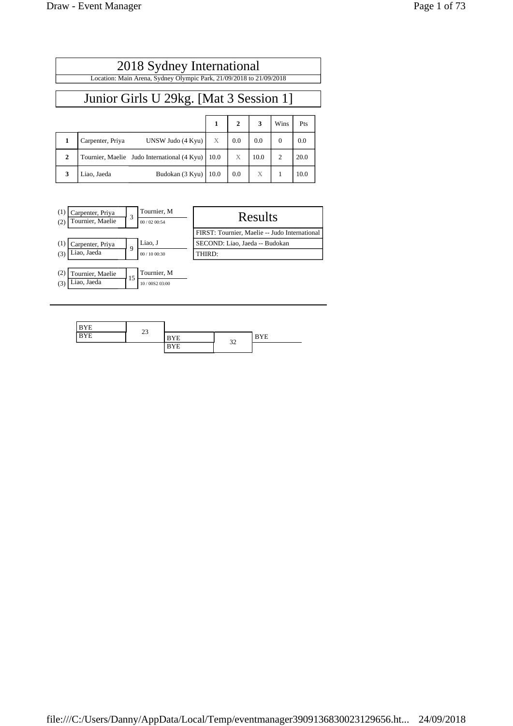| 2018 Sydney International                                           |                  |                                                              |  |     |     |          |     |  |
|---------------------------------------------------------------------|------------------|--------------------------------------------------------------|--|-----|-----|----------|-----|--|
| Location: Main Arena, Sydney Olympic Park, 21/09/2018 to 21/09/2018 |                  |                                                              |  |     |     |          |     |  |
| Junior Girls U 29kg. [Mat 3 Session 1]                              |                  |                                                              |  |     |     |          |     |  |
| $2 \mid$<br>$\overline{\mathbf{3}}$<br>Wins<br>Pts                  |                  |                                                              |  |     |     |          |     |  |
|                                                                     | Carpenter, Priya | UNSW Judo $(4$ Kyu $)$ $\begin{array}{c} \times \end{array}$ |  | 0.0 | 0.0 | $\Omega$ | 0.0 |  |

**2** Tournier, Maelie Judo International  $(4 \text{ Kyu})$  10.0  $\text{X}$  10.0 2 20.0

**3** Liao, Jaeda Budokan (3 Kyu) 10.0 0.0 X 1 10.0

| (1)<br>(2) | Carpenter, Priya<br>Tournier, Maelie | 3  | Tournier, M<br>00/02 00:54 | Results                                       |
|------------|--------------------------------------|----|----------------------------|-----------------------------------------------|
|            |                                      |    |                            | FIRST: Tournier, Maelie -- Judo International |
| (1)        | Carpenter, Priya                     | Q  | Liao, J                    | SECOND: Liao, Jaeda -- Budokan                |
| (3)        | Liao, Jaeda                          |    | 00/1000:30                 | THIRD:                                        |
|            |                                      |    |                            |                                               |
| (2)        | Tournier, Maelie                     | 15 | Tournier, M                |                                               |
| (3)        | Liao, Jaeda                          |    | 10/00S2 03:00              |                                               |

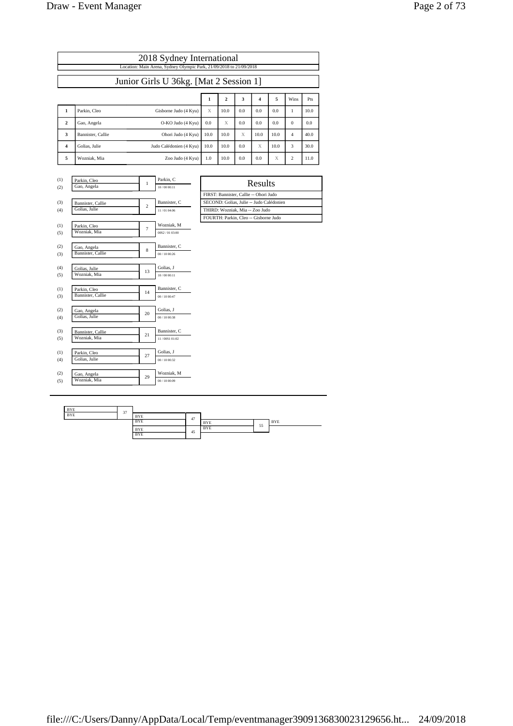| Page 2 of 73 |  |
|--------------|--|
|--------------|--|

|                                        | 2018 Sydney International<br>Location: Main Arena, Sydney Olympic Park, 21/09/2018 to 21/09/2018 |                         |      |      |     |      |      |                |      |  |  |
|----------------------------------------|--------------------------------------------------------------------------------------------------|-------------------------|------|------|-----|------|------|----------------|------|--|--|
| Junior Girls U 36kg. [Mat 2 Session 1] |                                                                                                  |                         |      |      |     |      |      |                |      |  |  |
| 5<br>3<br>2<br>4<br>Wins<br>1          |                                                                                                  |                         |      |      |     |      |      |                | Pts  |  |  |
| 1                                      | Parkin, Cleo                                                                                     | Gisborne Judo (4 Kyu)   | X    | 10.0 | 0.0 | 0.0  | 0.0  |                | 10.0 |  |  |
| $\mathbf{2}$                           | Gao, Angela                                                                                      | O-KO Judo (4 Kyu)       | 0.0  | X    | 0.0 | 0.0  | 0.0  | $\Omega$       | 0.0  |  |  |
| 3                                      | Bannister, Callie                                                                                | Ohori Judo (4 Kyu)      | 10.0 | 10.0 | X   | 10.0 | 10.0 | $\overline{4}$ | 40.0 |  |  |
| $\overline{4}$                         | Golias, Julie                                                                                    | Judo Calédonien (4 Kyu) | 10.0 | 10.0 | 0.0 | X    | 10.0 | 3              | 30.0 |  |  |
| 5                                      | Wozniak, Mia                                                                                     | Zoo Judo (4 Kyu)        | 1.0  | 10.0 | 0.0 | 0.0  | X    | $\overline{c}$ | 11.0 |  |  |

| (1)        | Parkin, Cleo                  | $\mathbf{1}$   | Parkin, C     | Results                                  |
|------------|-------------------------------|----------------|---------------|------------------------------------------|
| (2)        | Gao, Angela                   |                | 10/00 00:11   |                                          |
|            |                               |                |               | FIRST: Bannister, Callie -- Ohori Judo   |
| (3)        | Bannister, Callie             | $\overline{c}$ | Bannister, C  | SECOND: Golias, Julie -- Judo Calédonien |
| (4)        | Golias, Julie                 |                | 11/01 04:06   | THIRD: Wozniak, Mia -- Zoo Judo          |
|            |                               |                |               | FOURTH: Parkin, Cleo -- Gisborne Judo    |
| (1)        | Parkin, Cleo                  | $\overline{7}$ | Wozniak, M    |                                          |
| (5)        | Wozniak, Mia                  |                | 00S2/0103:00  |                                          |
|            |                               |                |               |                                          |
| (2)        | Gao, Angela                   | 8              | Bannister, C  |                                          |
| (3)        | Bannister, Callie             |                | 00/1000:26    |                                          |
|            |                               |                | Golias, J     |                                          |
| (4)<br>(5) | Golias, Julie<br>Wozniak, Mia | 13             | 10/00 00:11   |                                          |
|            |                               |                |               |                                          |
| (1)        | Parkin, Cleo                  |                | Bannister, C  |                                          |
| (3)        | Bannister, Callie             | 14             | 00/1000:47    |                                          |
|            |                               |                |               |                                          |
| (2)        | Gao, Angela                   | 20             | Golias, J     |                                          |
| (4)        | Golias, Julie                 |                | 00/1000:38    |                                          |
|            |                               |                |               |                                          |
| (3)        | Bannister, Callie             | 21             | Bannister, C  |                                          |
| (5)        | Wozniak, Mia                  |                | 11/008101:02  |                                          |
|            |                               |                | Golias, J     |                                          |
| (1)        | Parkin, Cleo<br>Golias, Julie | 27             | 00/1000:32    |                                          |
| (4)        |                               |                |               |                                          |
| (2)        | Gao, Angela                   |                | Wozniak, M    |                                          |
| (5)        | Wozniak, Mia                  | 29             | 00 / 10 00:09 |                                          |
|            |                               |                |               |                                          |

| Results                                  |
|------------------------------------------|
| FIRST: Bannister, Callie -- Ohori Judo   |
| SECOND: Golias, Julie -- Judo Calédonien |
| THIRD: Wozniak, Mia -- Zoo Judo          |
| FOURTH: Parkin, Cleo -- Gisborne Judo    |

| <b>BYE</b> | 37 |            |    |            |    |            |
|------------|----|------------|----|------------|----|------------|
| <b>BYE</b> |    | <b>BYE</b> | 47 |            |    |            |
|            |    | <b>BYE</b> |    | <b>BYE</b> | 55 | <b>BYE</b> |
|            |    | <b>BYE</b> | 45 | <b>BYE</b> |    |            |
|            |    | <b>BYE</b> |    |            |    |            |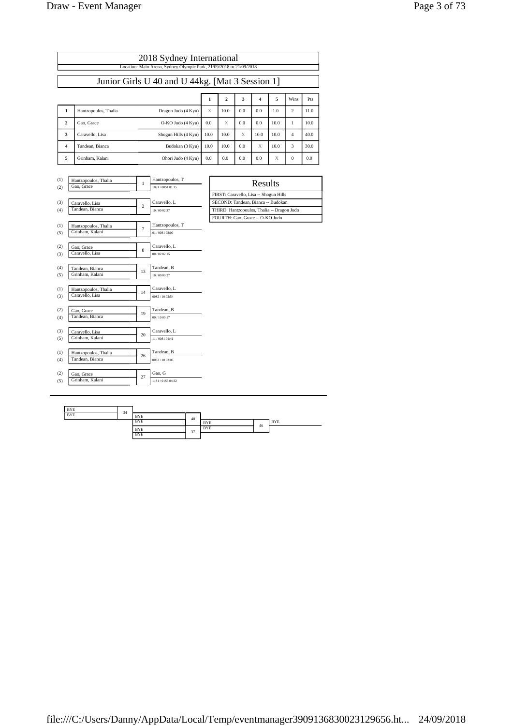| Page 3 of 73 |  |  |
|--------------|--|--|
|              |  |  |

| 2018 Sydney International |                                                                     |                                         |   |                                    |  |      |                                            |     |         |      |              |      |
|---------------------------|---------------------------------------------------------------------|-----------------------------------------|---|------------------------------------|--|------|--------------------------------------------|-----|---------|------|--------------|------|
|                           | Location: Main Arena, Sydney Olympic Park, 21/09/2018 to 21/09/2018 |                                         |   |                                    |  |      |                                            |     |         |      |              |      |
|                           | Junior Girls U 40 and U 44kg. [Mat 3 Session 1]                     |                                         |   |                                    |  |      |                                            |     |         |      |              |      |
|                           | 5<br>$\mathbf{2}$<br>3<br>4<br>Wins<br>1<br>Pts                     |                                         |   |                                    |  |      |                                            |     |         |      |              |      |
| 1                         |                                                                     | Hantzopoulos, Thalia                    |   | Dragon Judo (4 Kyu)                |  | X    | 10.0                                       | 0.0 | 0.0     | 1.0  | 2            | 11.0 |
| $\mathbf{2}$              |                                                                     | Gao, Grace                              |   | O-KO Judo (4 Kyu)                  |  | 0.0  | X                                          | 0.0 | 0.0     | 10.0 | $\mathbf{1}$ | 10.0 |
| 3                         |                                                                     | Caravello, Lisa                         |   | Shogun Hills (4 Kyu)               |  | 10.0 | 10.0                                       | X   | 10.0    | 10.0 | 4            | 40.0 |
| $\overline{\mathbf{4}}$   |                                                                     | Tandean, Bianca                         |   | Budokan (3 Kyu)                    |  | 10.0 | 10.0                                       | 0.0 | X       | 10.0 | 3            | 30.0 |
| 5                         |                                                                     | Grinham, Kalani                         |   | Ohori Judo (4 Kyu)                 |  | 0.0  | 0.0                                        | 0.0 | 0.0     | X    | 0            | 0.0  |
|                           |                                                                     |                                         |   |                                    |  |      |                                            |     |         |      |              |      |
| (1)<br>(2)                |                                                                     | Hantzopoulos, Thalia<br>Gao, Grace      | 1 | Hantzopoulos, T<br>1051/0051-01:15 |  |      |                                            |     | Results |      |              |      |
|                           | FIRST: Caravello, Lisa -- Shogun Hills                              |                                         |   |                                    |  |      |                                            |     |         |      |              |      |
| (3)                       | Caravello, L<br>Caravello, Lisa<br>$\overline{c}$                   |                                         |   | SECOND: Tandean, Bianca -- Budokan |  |      |                                            |     |         |      |              |      |
| (4)                       |                                                                     | Tandean, Bianca                         |   | 10/00 02:37                        |  |      | THIRD: Hantzopoulos, Thalia -- Dragon Judo |     |         |      |              |      |
|                           |                                                                     |                                         |   |                                    |  |      | FOURTH: Gao, Grace -- O-KO Judo            |     |         |      |              |      |
| (1)<br>(5)                |                                                                     | Hantzopoulos, Thalia<br>Grinham, Kalani | 7 | Hantzopoulos, T<br>01/00S1 03:00   |  |      |                                            |     |         |      |              |      |

| 1  | 01/00S1 03:00                   |
|----|---------------------------------|
| 8  | Caravello, L<br>00/0202:15      |
| 13 | Tandean, B<br>10/00 00:27       |
| 14 | Caravello, L<br>00S2 / 10 02:54 |
| 19 | Tandean, B<br>00/10 00:17       |
| 20 | Caravello, L<br>11/00S1 01:41   |
| 26 | Tandean, B<br>00S2 / 10 02:06   |
| 27 | Gao, G<br>11S1/01S3 04:32       |
|    |                                 |

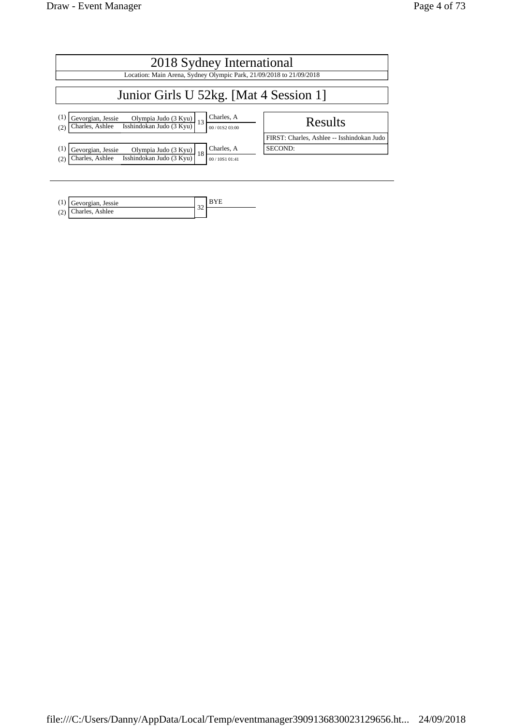| 2018 Sydney International                                                                                                                                  |                                            |  |  |  |  |  |
|------------------------------------------------------------------------------------------------------------------------------------------------------------|--------------------------------------------|--|--|--|--|--|
| Location: Main Arena, Sydney Olympic Park, 21/09/2018 to 21/09/2018                                                                                        |                                            |  |  |  |  |  |
| Junior Girls U 52kg. [Mat 4 Session 1]                                                                                                                     |                                            |  |  |  |  |  |
| Charles, A<br>(1)<br>Gevorgian, Jessie<br>Olympia Judo (3 Kyu)<br>Isshindokan Judo (3 Kyu)<br>13<br>Charles, Ashlee<br>00 / 01 \$ 2 03:00<br>(2)           | <b>Results</b>                             |  |  |  |  |  |
|                                                                                                                                                            | FIRST: Charles, Ashlee -- Isshindokan Judo |  |  |  |  |  |
| Charles, A<br>$\left(1\right)$<br>Gevorgian, Jessie<br>Olympia Judo (3 Kyu)<br>Isshindokan Judo (3 Kyu)<br>18<br>Charles, Ashlee<br>(2)<br>00 / 10S1 01:41 | SECOND:                                    |  |  |  |  |  |

| Gevorgian, Jessie     |  |
|-----------------------|--|
| $(2)$ Charles, Ashlee |  |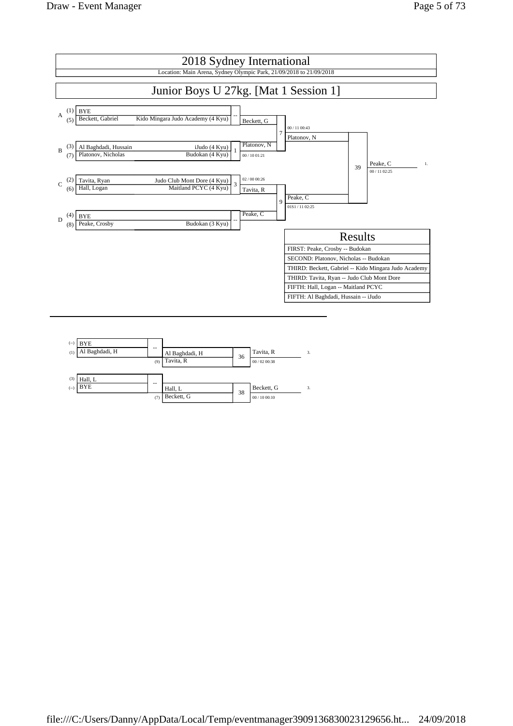

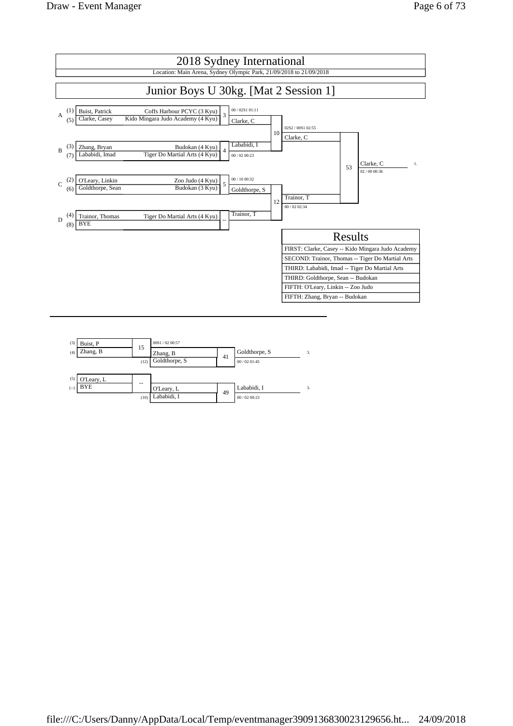

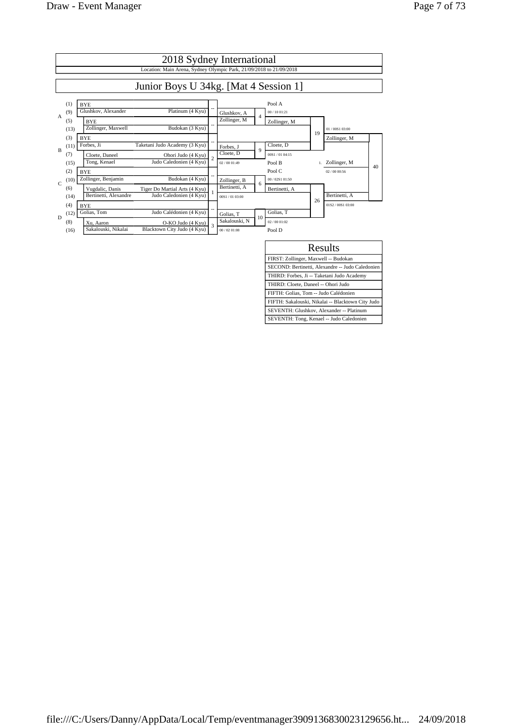|                |                            | 2018 Sydney International<br>Location: Main Arena, Sydney Olympic Park, 21/09/2018 to 21/09/2018                                             |   |                                            |                |                                            |    |                                  |    |
|----------------|----------------------------|----------------------------------------------------------------------------------------------------------------------------------------------|---|--------------------------------------------|----------------|--------------------------------------------|----|----------------------------------|----|
|                |                            | Junior Boys U 34kg. [Mat 4 Session 1]                                                                                                        |   |                                            |                |                                            |    |                                  |    |
| $\overline{A}$ | (1)<br>(9)<br>(5)<br>(13)  | <b>BYE</b><br>Glushkov, Alexander<br>Platinum (4 Kyu)<br><b>BYE</b><br>Zollinger, Maxwell<br>Budokan (3 Kyu)                                 |   | Glushkov, A<br>Zollinger, M                | $\overline{4}$ | Pool A<br>00 / 10 01:21<br>Zollinger, M    | 19 | 01/00S1 03:00                    |    |
| $\mathbf{B}$   | (3)<br>(11)<br>(7)<br>(15) | <b>BYE</b><br>Forbes. Ji<br>Taketani Judo Academy (3 Kyu)<br>Cloete, Daneel<br>Ohori Judo (4 Kyu)<br>Judo Caledonien (4 Kyu)<br>Tong, Kenael |   | Forbes, J<br>Cloete, D<br>02/0001:49       | $\mathbf{Q}$   | Cloete, D<br>00S1 / 01 04:15<br>Pool B     |    | Zollinger, M<br>1. Zollinger, M  |    |
| $\mathsf{C}$   | (2)<br>(10)<br>(6)         | <b>BYE</b><br>Zollinger, Benjamin<br>Budokan (4 Kyu)<br>Vugdalic, Danis<br>Tiger Do Martial Arts (4 Kyu)                                     |   | Zollinger, B<br>Bertinetti, A              | 6              | Pool C<br>00 / 0251 01:50<br>Bertinetti, A |    | 02/0000:56                       | 40 |
| D              | (14)<br>(4)<br>(12)        | Judo Caledonien (4 Kyu)<br>Bertinetti, Alexandre<br><b>BYE</b><br>Judo Calédonien (4 Kyu)<br>Golias. Tom                                     |   | 00S1/0103:00<br>Golias, T<br>Sakalouski, N | 10             | Golias, T<br>02/00 01:02                   | 26 | Bertinetti, A<br>01S2/00S1 03:00 |    |
|                | (8)<br>(16)                | O-KO Judo (4 Kyu)<br>Xu. Aaron<br>Sakalouski, Nikalai<br>Blacktown City Judo (4 Kyu)                                                         | 3 | 00/0201:08                                 |                | Pool D                                     |    |                                  |    |

| Results                                           |
|---------------------------------------------------|
| FIRST: Zollinger, Maxwell -- Budokan              |
| SECOND: Bertinetti, Alexandre -- Judo Caledonien  |
| THIRD: Forbes, Ji -- Taketani Judo Academy        |
| THIRD: Cloete, Daneel -- Ohori Judo               |
| FIFTH: Golias, Tom -- Judo Calédonien             |
| FIFTH: Sakalouski, Nikalai -- Blacktown City Judo |
| SEVENTH: Glushkov, Alexander -- Platinum          |
| SEVENTH: Tong, Kenael -- Judo Caledonien          |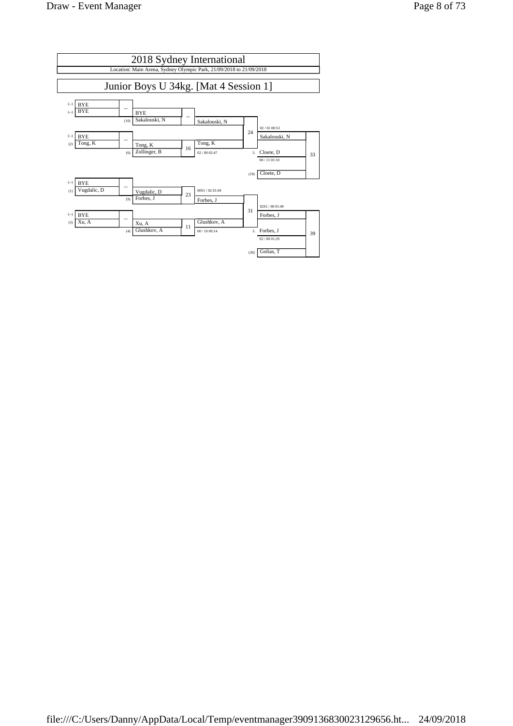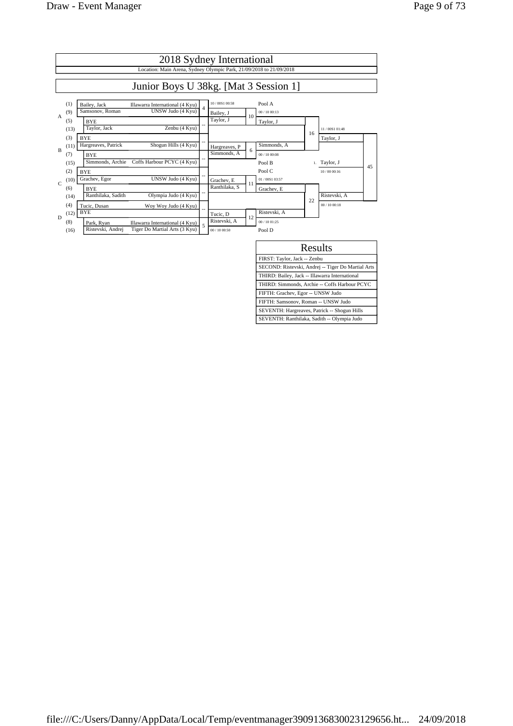

| Results                                            |
|----------------------------------------------------|
| FIRST: Taylor, Jack -- Zenbu                       |
| SECOND: Ristevski, Andrej -- Tiger Do Martial Arts |
| THIRD: Bailey, Jack -- Illawarra International     |
| THIRD: Simmonds, Archie -- Coffs Harbour PCYC      |
| FIFTH: Grachev, Egor -- UNSW Judo                  |
| FIFTH: Samsonov, Roman -- UNSW Judo                |
| SEVENTH: Hargreaves, Patrick -- Shogun Hills       |
| SEVENTH: Ranthilaka, Sadith -- Olympia Judo        |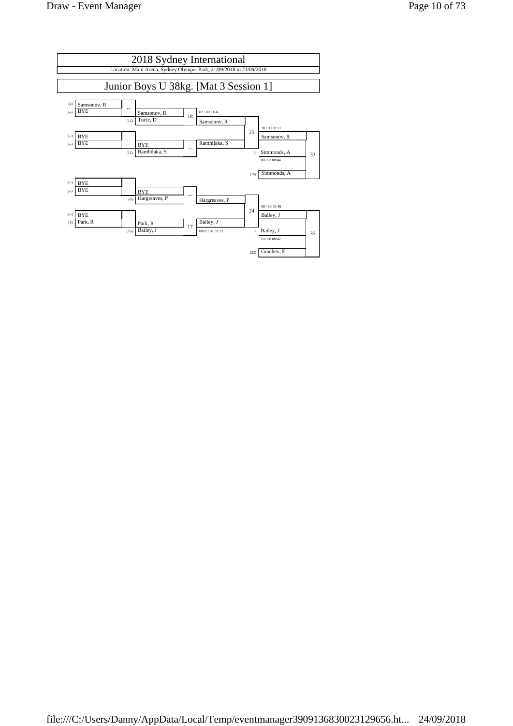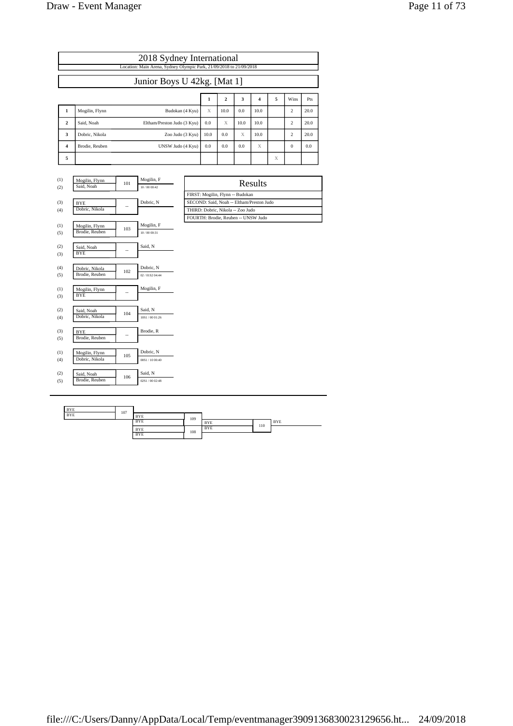|              |                | 2018 Sydney International                                           |      |                         |      |      |   |                |      |
|--------------|----------------|---------------------------------------------------------------------|------|-------------------------|------|------|---|----------------|------|
|              |                | Location: Main Arena, Sydney Olympic Park, 21/09/2018 to 21/09/2018 |      |                         |      |      |   |                |      |
|              |                | Junior Boys U 42kg. [Mat 1]                                         |      |                         |      |      |   |                |      |
|              |                |                                                                     | 1    | $\overline{\mathbf{2}}$ | 3    | 4    | 5 | Wins           | Pts  |
| 1            | Mogilin, Flynn | Budokan (4 Kyu)                                                     | X    | 10.0                    | 0.0  | 10.0 |   | $\overline{c}$ | 20.0 |
| $\mathbf{2}$ | Said, Noah     | Eltham/Preston Judo (3 Kyu)                                         | 0.0  | X                       | 10.0 | 10.0 |   | 2              | 20.0 |
| 3            | Dobric, Nikola | Zoo Judo (3 Kyu)                                                    | 10.0 | 0.0                     | X    | 10.0 |   | 2              | 20.0 |
| 4            | Brodie, Reuben | UNSW Judo (4 Kyu)                                                   | 0.0  | 0.0                     | 0.0  | X    |   | $\Omega$       | 0.0  |
| 5            |                |                                                                     |      |                         |      |      | X |                |      |

| (1)<br>(2) | Mogilin, Flynn<br>Said, Noah     | 101 | Mogilin, F<br>10/00 00:42    | Results                                   |
|------------|----------------------------------|-----|------------------------------|-------------------------------------------|
|            |                                  |     |                              | FIRST: Mogilin, Flynn -- Budokan          |
| (3)        | <b>BYE</b>                       |     | Dobric, N                    | SECOND: Said, Noah -- Eltham/Preston Judo |
| (4)        | Dobric, Nikola                   |     |                              | THIRD: Dobric, Nikola -- Zoo Judo         |
|            |                                  |     |                              | FOURTH: Brodie, Reuben -- UNSW Judo       |
| (1)<br>(5) | Mogilin, Flynn<br>Brodie, Reuben | 103 | Mogilin, F<br>10/00 00:31    |                                           |
| (2)<br>(3) | Said, Noah<br><b>BYE</b>         | --  | Said, N                      |                                           |
| (4)<br>(5) | Dobric, Nikola<br>Brodie, Reuben | 102 | Dobric, N<br>02 / 01S2 04:44 |                                           |
| (1)<br>(3) | Mogilin, Flynn<br><b>BYE</b>     | --  | Mogilin, F                   |                                           |
| (2)<br>(4) | Said, Noah<br>Dobric, Nikola     | 104 | Said, N<br>10S1/0001:26      |                                           |
| (3)<br>(5) | <b>BYE</b><br>Brodie, Reuben     | --  | Brodie, R                    |                                           |
| (1)<br>(4) | Mogilin, Flynn<br>Dobric, Nikola | 105 | Dobric, N<br>00S1 / 10 00:40 |                                           |
| (2)<br>(5) | Said, Noah<br>Brodie, Reuben     | 106 | Said, N<br>02S1 / 00 02:48   |                                           |
|            |                                  |     |                              |                                           |

| Results                                   |
|-------------------------------------------|
| FIRST: Mogilin, Flvnn -- Budokan          |
| SECOND: Said, Noah -- Eltham/Preston Judo |
| THIRD: Dobric, Nikola -- Zoo Judo         |
| FOURTH: Brodie, Reuben -- UNSW Judo       |
|                                           |

| <b>BYE</b> | 107 |            |     |            |     |            |
|------------|-----|------------|-----|------------|-----|------------|
| <b>BYE</b> |     | <b>BYE</b> | 109 |            |     |            |
|            |     | <b>BYE</b> |     | <b>BYE</b> | 110 | <b>BYE</b> |
|            |     | <b>BYE</b> | 108 | <b>BYE</b> |     |            |
|            |     | <b>BYE</b> |     |            |     |            |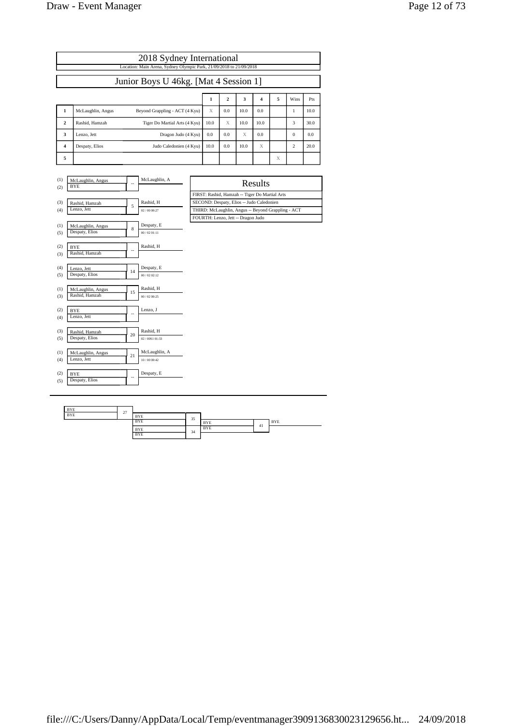|                |                   | 2018 Sydney International                                           |      |              |      |      |   |                |      |
|----------------|-------------------|---------------------------------------------------------------------|------|--------------|------|------|---|----------------|------|
|                |                   | Location: Main Arena, Sydney Olympic Park, 21/09/2018 to 21/09/2018 |      |              |      |      |   |                |      |
|                |                   | Junior Boys U 46kg. [Mat 4 Session 1]                               |      |              |      |      |   |                |      |
|                |                   |                                                                     | 1    | $\mathbf{2}$ | 3    | 4    | 5 | Wins           | Pts  |
| 1              | McLaughlin, Angus | Beyond Grappling - ACT (4 Kyu)                                      | X    | 0.0          | 10.0 | 0.0  |   | 1              | 10.0 |
| $\mathbf{2}$   | Rashid, Hamzah    | Tiger Do Martial Arts (4 Kyu)                                       | 10.0 | X            | 10.0 | 10.0 |   | 3              | 30.0 |
| 3              | Lenzo, Jett       | Dragon Judo (4 Kyu)                                                 | 0.0  | 0.0          | X    | 0.0  |   | $\Omega$       | 0.0  |
| $\overline{4}$ | Despaty, Elios    | Judo Caledonien (4 Kyu)                                             | 10.0 | 0.0          | 10.0 | X    |   | $\overline{c}$ | 20.0 |
| 5              |                   |                                                                     |      |              |      |      | X |                |      |

| (1)<br>(2) | McLaughlin, Angus<br><b>BYE</b>     |    | McLaughlin, A                | Results                                            |
|------------|-------------------------------------|----|------------------------------|----------------------------------------------------|
|            |                                     |    |                              | FIRST: Rashid, Hamzah -- Tiger Do Martial Arts     |
| (3)        | Rashid, Hamzah                      | 5  | Rashid, H                    | SECOND: Despaty, Elios -- Judo Caledonien          |
| (4)        | Lenzo, Jett                         |    | 02/00 00:27                  | THIRD: McLaughlin, Angus -- Beyond Grappling - ACT |
|            |                                     |    |                              | FOURTH: Lenzo, Jett -- Dragon Judo                 |
| (1)        | McLaughlin, Angus                   | 8  | Despaty, E                   |                                                    |
| (5)        | Despaty, Elios                      |    | 00/0201:11                   |                                                    |
| (2)<br>(3) | <b>BYE</b><br>Rashid, Hamzah        |    | Rashid, H                    |                                                    |
| (4)<br>(5) | Lenzo, Jett<br>Despaty, Elios       | 14 | Despaty, E<br>00/0202:12     |                                                    |
| (1)<br>(3) | McLaughlin, Angus<br>Rashid, Hamzah | 15 | Rashid, H<br>00/0200:25      |                                                    |
| (2)<br>(4) | <b>BYE</b><br>Lenzo, Jett           | ٠. | Lenzo, J                     |                                                    |
| (3)<br>(5) | Rashid, Hamzah<br>Despaty, Elios    | 20 | Rashid, H<br>02/008101:33    |                                                    |
| (1)<br>(4) | McLaughlin, Angus<br>Lenzo, Jett    | 21 | McLaughlin, A<br>10/00 00:42 |                                                    |
| (2)<br>(5) | <b>BYE</b><br>Despaty, Elios        |    | Despaty, E                   |                                                    |

| Results                                            |
|----------------------------------------------------|
| FIRST: Rashid, Hamzah -- Tiger Do Martial Arts     |
| SECOND: Despaty, Elios -- Judo Caledonien          |
| THIRD: McLaughlin, Angus -- Beyond Grappling - ACT |
| FOURTH: Lenzo, Jett -- Dragon Judo                 |
|                                                    |

| <b>BYE</b> | 27 |            |    |            |    |            |
|------------|----|------------|----|------------|----|------------|
| <b>BYE</b> |    | <b>BYE</b> | 35 |            |    |            |
|            |    | <b>BYE</b> |    | <b>BYE</b> | 41 | <b>BYE</b> |
|            |    | <b>BYE</b> | 34 | <b>BYE</b> |    |            |
|            |    | <b>BYE</b> |    |            |    |            |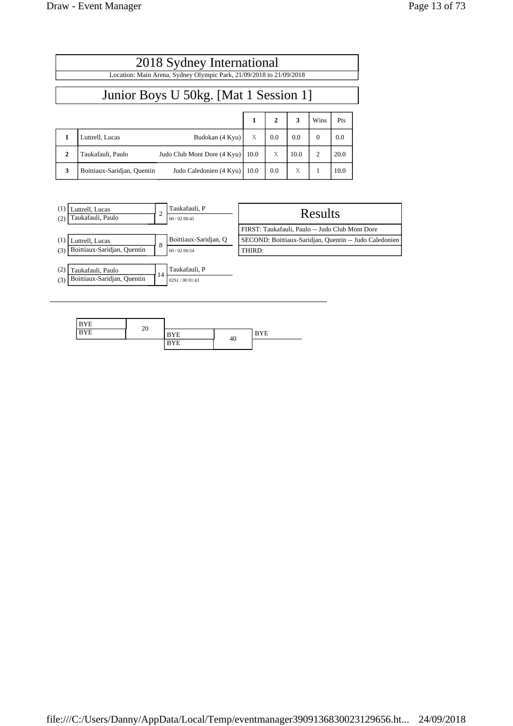|                                       | 2018 Sydney International<br>Location: Main Arena, Sydney Olympic Park, 21/09/2018 to 21/09/2018 |      |              |      |                        |      |  |  |  |  |
|---------------------------------------|--------------------------------------------------------------------------------------------------|------|--------------|------|------------------------|------|--|--|--|--|
| Junior Boys U 50kg. [Mat 1 Session 1] |                                                                                                  |      |              |      |                        |      |  |  |  |  |
|                                       |                                                                                                  | 1    | $\mathbf{2}$ | 3    | Wins                   | Pts  |  |  |  |  |
|                                       | Luttrell, Lucas<br>Budokan (4 Kyu)                                                               | X    | 0.0          | 0.0  | $\Omega$               | 0.0  |  |  |  |  |
| $\mathbf{2}$                          | Taukafauli, Paulo<br>Judo Club Mont Dore (4 Kyu)                                                 | 10.0 | X            | 10.0 | $\mathcal{D}_{\alpha}$ | 20.0 |  |  |  |  |
| 3                                     | Boittiaux-Saridian, Quentin<br>Judo Caledonien (4 Kyu)                                           | 10.0 | 0.0          | X    |                        | 10.0 |  |  |  |  |



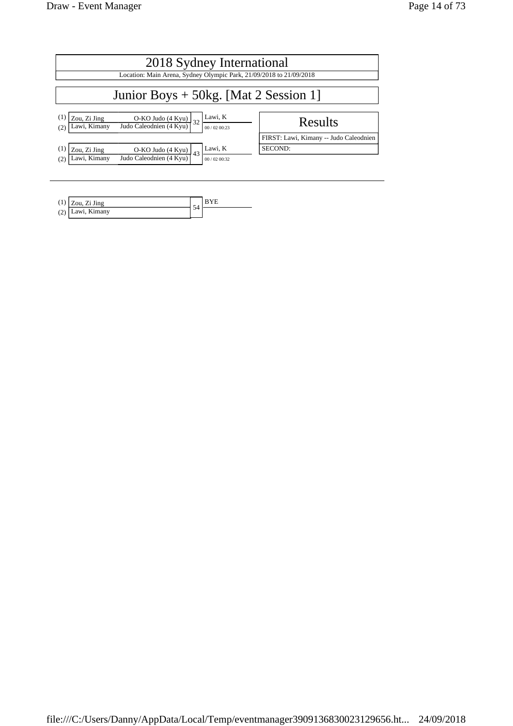| 2018 Sydney International                                                                                                                                       |                                        |  |  |  |  |  |  |  |
|-----------------------------------------------------------------------------------------------------------------------------------------------------------------|----------------------------------------|--|--|--|--|--|--|--|
| Location: Main Arena, Sydney Olympic Park, 21/09/2018 to 21/09/2018                                                                                             |                                        |  |  |  |  |  |  |  |
| Junior Boys $+ 50$ kg. [Mat 2 Session 1]                                                                                                                        |                                        |  |  |  |  |  |  |  |
| Lawi, K<br>(1<br>Zou, Zi Jing<br>$\frac{O-KO \text{ Judo} (4 \text{ Kyu})}{\text{Judo Caleodnien} (4 \text{ Kyu})}$<br>32<br>Lawi, Kimany<br>00/02 00:23<br>(2) | Results                                |  |  |  |  |  |  |  |
|                                                                                                                                                                 | FIRST: Lawi, Kimany -- Judo Caleodnien |  |  |  |  |  |  |  |
| Lawi, K<br>Zou, Zi Jing<br>O-KO Judo $(4$ Kyu) $43$<br>Judo Caleodnien (4 Kyu)<br>Lawi, Kimany<br>(2)<br>00/0200:32                                             | SECOND:                                |  |  |  |  |  |  |  |

|     | $\log 2$ Zou, Zi Jing | E |  |
|-----|-----------------------|---|--|
| (4) | Lawi, Kimany          | ◡ |  |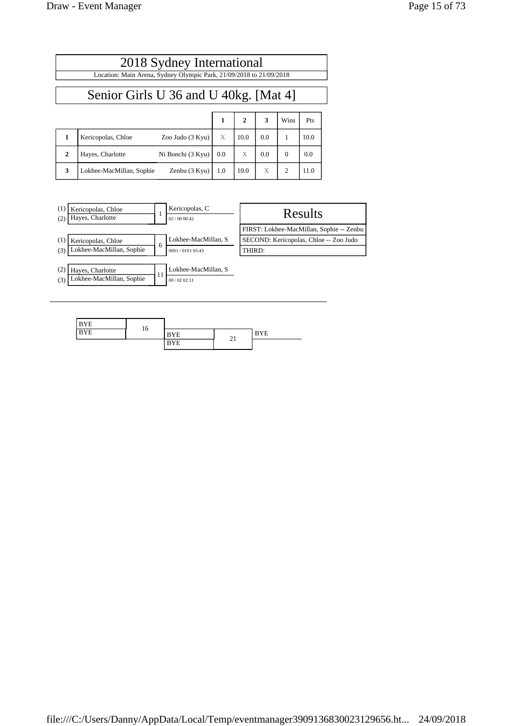| Page 15 of 73 |  |  |  |
|---------------|--|--|--|
|---------------|--|--|--|

| 2018 Sydney International<br>Location: Main Arena, Sydney Olympic Park, 21/09/2018 to 21/09/2018 |                          |                   |              |              |     |          |      |  |  |
|--------------------------------------------------------------------------------------------------|--------------------------|-------------------|--------------|--------------|-----|----------|------|--|--|
| Senior Girls U 36 and U 40kg. [Mat 4]                                                            |                          |                   |              |              |     |          |      |  |  |
|                                                                                                  |                          |                   | $\mathbf{1}$ | $\mathbf{2}$ | 3   | Wins     | Pts  |  |  |
| 1                                                                                                | Kericopolas, Chloe       | Zoo Judo (3 Kyu)  | X            | 10.0         | 0.0 | 1        | 10.0 |  |  |
| $\overline{2}$                                                                                   | Hayes, Charlotte         | Ni Bonchi (3 Kyu) | 0.0          | X            | 0.0 | $\Omega$ | 0.0  |  |  |
| 3                                                                                                | Lokhee-MacMillan, Sophie | Zenbu (3 Kyu)     | 1.0          | 10.0         | X   | 2        | 11.0 |  |  |

| (1)<br>Kericopolas, Chloe<br>Hayes, Charlotte<br>(2)       |              | Kericopolas, C<br>02/0000:42      | Results                                  |
|------------------------------------------------------------|--------------|-----------------------------------|------------------------------------------|
|                                                            |              |                                   | FIRST: Lokhee-MacMillan, Sophie -- Zenbu |
| (1)<br>Kericopolas, Chloe                                  |              | Lokhee-MacMillan, S               | SECOND: Kericopolas, Chloe -- Zoo Judo   |
| Lokhee-MacMillan, Sophie<br>(3)                            | <sub>6</sub> | 00S1/01S1 05:43                   | THIRD:                                   |
| (2)<br>Hayes, Charlotte<br>Lokhee-MacMillan, Sophie<br>(3) | 11           | Lokhee-MacMillan, S<br>00/0202:11 |                                          |

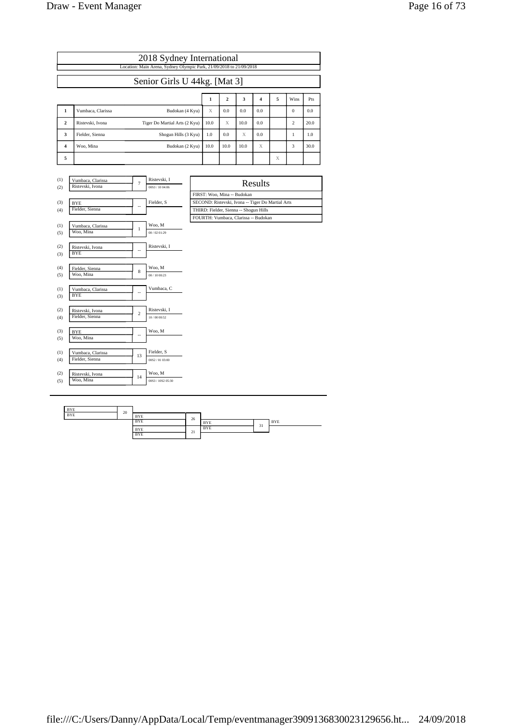| Page 16 of 73 |  |  |  |
|---------------|--|--|--|
|---------------|--|--|--|

|                              | 2018 Sydney International<br>Location: Main Arena, Sydney Olympic Park, 21/09/2018 to 21/09/2018 |                               |      |      |      |     |   |                |      |  |
|------------------------------|--------------------------------------------------------------------------------------------------|-------------------------------|------|------|------|-----|---|----------------|------|--|
| Senior Girls U 44kg. [Mat 3] |                                                                                                  |                               |      |      |      |     |   |                |      |  |
|                              | 5<br>3<br>$\overline{\mathbf{2}}$<br>Wins<br>1<br>4                                              |                               |      |      |      |     |   | Pts            |      |  |
| 1                            | Vumbaca, Clarissa                                                                                | Budokan (4 Kyu)               | X    | 0.0  | 0.0  | 0.0 |   | $\Omega$       | 0.0  |  |
| $\mathbf{2}$                 | Ristevski, Ivona                                                                                 | Tiger Do Martial Arts (2 Kyu) | 10.0 | X    | 10.0 | 0.0 |   | $\overline{c}$ | 20.0 |  |
| 3                            | Fielder, Sienna                                                                                  | Shogun Hills (3 Kyu)          | 1.0  | 0.0  | X    | 0.0 |   |                | 1.0  |  |
| 4                            | Woo, Mina                                                                                        | Budokan (2 Kyu)               | 10.0 | 10.0 | 10.0 | X   |   | 3              | 30.0 |  |
| 5                            |                                                                                                  |                               |      |      |      |     | X |                |      |  |

| (1)<br>(2) | Vumbaca, Clarissa<br>Ristevski, Ivona | $\overline{7}$           | Ristevski, I<br>00S3 / 10 04:06 | Results                                           |
|------------|---------------------------------------|--------------------------|---------------------------------|---------------------------------------------------|
|            |                                       |                          |                                 | FIRST: Woo, Mina -- Budokan                       |
| (3)        | <b>BYE</b>                            |                          | Fielder, S                      | SECOND: Ristevski, Ivona -- Tiger Do Martial Arts |
| (4)        | Fielder, Sienna                       | --                       |                                 | THIRD: Fielder, Sienna -- Shogun Hills            |
|            |                                       |                          |                                 | FOURTH: Vumbaca, Clarissa -- Budokan              |
| (1)        | Vumbaca, Clarissa                     | $\mathbf{1}$             | Woo, M                          |                                                   |
| (5)        | Woo, Mina                             |                          | 00/02 01:29                     |                                                   |
| (2)        | Ristevski, Ivona                      |                          | Ristevski, I                    |                                                   |
| (3)        | <b>BYE</b>                            |                          |                                 |                                                   |
| (4)        | Fielder, Sienna                       |                          | Woo, M                          |                                                   |
| (5)        | Woo, Mina                             | 8                        | 00 / 10 00:23                   |                                                   |
| (1)<br>(3) | Vumbaca, Clarissa<br><b>BYE</b>       | $\overline{\phantom{a}}$ | Vumbaca, C                      |                                                   |
|            |                                       |                          |                                 |                                                   |
| (2)        | Ristevski, Ivona<br>Fielder, Sienna   | $\overline{c}$           | Ristevski, I                    |                                                   |
| (4)        |                                       |                          | 10/00 00:52                     |                                                   |
| (3)        | <b>BYE</b>                            | ٠.                       | Woo, M                          |                                                   |
| (5)        | Woo, Mina                             |                          |                                 |                                                   |
| (1)        | Vumbaca, Clarissa                     | 13                       | Fielder, S                      |                                                   |
| (4)        | Fielder, Sienna                       |                          | 00S2/0103:00                    |                                                   |
| (2)        | Ristevski, Ivona                      |                          | Woo, M                          |                                                   |
| (5)        | Woo, Mina                             | 14                       | 00S3 / 10S2 05:30               |                                                   |
|            |                                       |                          |                                 |                                                   |

| Results                                           |
|---------------------------------------------------|
| FIRST: Woo. Mina -- Budokan                       |
| SECOND: Ristevski, Ivona -- Tiger Do Martial Arts |
| THIRD: Fielder, Sienna -- Shogun Hills            |
| FOURTH: Vumbaca, Clarissa -- Budokan              |

| <b>BYE</b> | 20 |            |    |            |    |            |
|------------|----|------------|----|------------|----|------------|
| <b>BYE</b> |    | <b>BYE</b> | 26 |            |    |            |
|            |    | <b>BYE</b> |    | <b>BYE</b> | 31 | <b>BYE</b> |
|            |    | <b>BYE</b> | 21 | <b>BYE</b> | .  |            |
|            |    | <b>BYE</b> |    |            |    |            |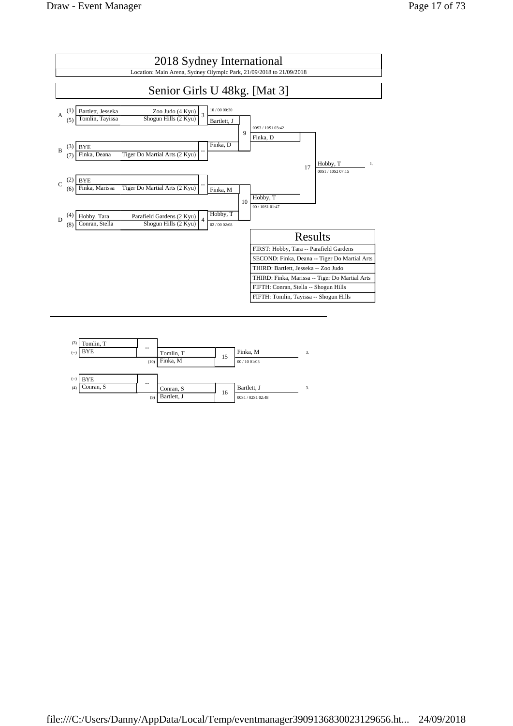

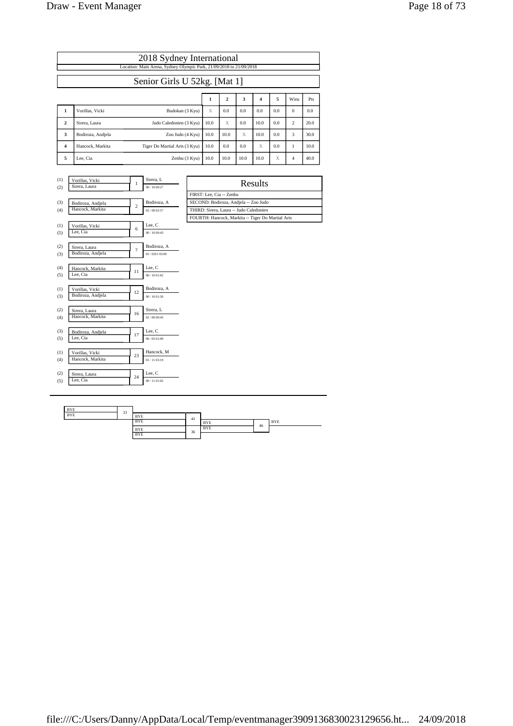| Page 18 of 73 |  |
|---------------|--|
|---------------|--|

|                              | 2018 Sydney International<br>Location: Main Arena, Sydney Olympic Park, 21/09/2018 to 21/09/2018 |                               |      |      |      |      |     |              |      |  |  |
|------------------------------|--------------------------------------------------------------------------------------------------|-------------------------------|------|------|------|------|-----|--------------|------|--|--|
|                              |                                                                                                  |                               |      |      |      |      |     |              |      |  |  |
| Senior Girls U 52kg. [Mat 1] |                                                                                                  |                               |      |      |      |      |     |              |      |  |  |
|                              | 5<br>Wins<br>$\overline{\mathbf{2}}$<br>3<br>1<br>4                                              |                               |      |      |      |      |     | Pts          |      |  |  |
| 1                            | Vorillas, Vicki                                                                                  | Budokan (3 Kyu)               | X    | 0.0  | 0.0  | 0.0  | 0.0 | $\mathbf{0}$ | 0.0  |  |  |
| $\overline{2}$               | Sirera, Laura                                                                                    | Judo Caledonien (3 Kyu)       | 10.0 | X    | 0.0  | 10.0 | 0.0 | 2            | 20.0 |  |  |
| 3                            | Bodiroza, Andjela                                                                                | Zoo Judo (4 Kyu)              | 10.0 | 10.0 | X    | 10.0 | 0.0 | 3            | 30.0 |  |  |
| 4                            | Hancock, Markita                                                                                 | Tiger Do Martial Arts (3 Kyu) | 10.0 | 0.0  | 0.0  | X    | 0.0 |              | 10.0 |  |  |
| 5                            | Lee, Cia                                                                                         | Zenbu (3 Kyu)                 | 10.0 | 10.0 | 10.0 | 10.0 | X   | 4            | 40.0 |  |  |

| (1) | Vorillas, Vicki   | $\mathbf{1}$   | Sirera, L     | Results                                 |
|-----|-------------------|----------------|---------------|-----------------------------------------|
| (2) | Sirera, Laura     |                | 00 / 10 00:27 |                                         |
|     |                   |                |               | FIRST: Lee, Cia -- Zenbu                |
| (3) | Bodiroza, Andjela | $\overline{c}$ | Bodiroza, A   | SECOND: Bodiroza, Andjela -- Zoo Judo   |
| (4) | Hancock, Markita  |                | 02/00 02:57   | THIRD: Sirera, Laura -- Judo Caledonien |
|     |                   |                |               | FOURTH: Hancock, Markita -- Tiger Do I  |
| (1) | Vorillas, Vicki   | 6              | Lee, C        |                                         |
| (5) | Lee, Cia          |                | 00 / 10 00:43 |                                         |
| (2) | Sirera, Laura     |                | Bodiroza, A   |                                         |
| (3) | Bodiroza, Andjela | $\overline{7}$ | 01/02S1 03:00 |                                         |
| (4) | Hancock, Markita  |                | Lee, C        |                                         |
| (5) | Lee, Cia          | 11             | 00 / 10 01:02 |                                         |
| (1) | Vorillas, Vicki   | 12             | Bodiroza, A   |                                         |
| (3) | Bodiroza, Andjela |                | 00 / 10 01:30 |                                         |
| (2) | Sirera, Laura     |                | Sirera, L     |                                         |
| (4) | Hancock, Markita  | 16             | 02/00 00:43   |                                         |
| (3) | Bodiroza, Andjela |                | Lee, C        |                                         |
| (5) | Lee. Cia          | 17             | 00 / 02 01:09 |                                         |
| (1) | Vorillas, Vicki   |                | Hancock, M    |                                         |
| (4) | Hancock, Markita  | 23             | 01/11 03:19   |                                         |
| (2) | Sirera, Laura     |                | Lee, C        |                                         |
| (5) | Lee, Cia          | 24             | 00/11 01:02   |                                         |
|     |                   |                |               |                                         |

| Results                                           |
|---------------------------------------------------|
| FIRST: Lee. Cia -- Zenbu                          |
| SECOND: Bodiroza, Andjela -- Zoo Judo             |
| THIRD: Sirera, Laura -- Judo Caledonien           |
| FOURTH: Hancock, Markita -- Tiger Do Martial Arts |
|                                                   |

| <b>BYE</b> | 33 |            |    |            |    |            |
|------------|----|------------|----|------------|----|------------|
| <b>BYE</b> |    | <b>BYE</b> | 41 |            |    |            |
|            |    | <b>BYE</b> |    | <b>BYE</b> | 46 | <b>BYE</b> |
|            |    | <b>BYE</b> | 36 | <b>BYE</b> |    |            |
|            |    | <b>BYE</b> |    |            |    |            |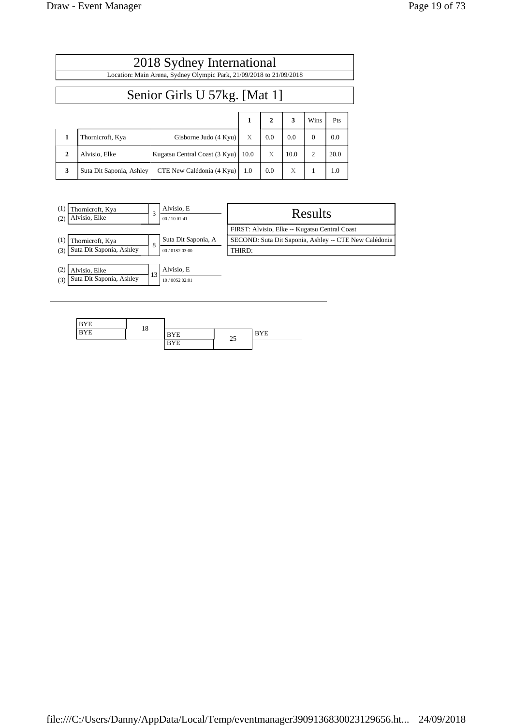$\overline{1}$ 

|  | Page 19 of 73 |  |  |  |
|--|---------------|--|--|--|
|--|---------------|--|--|--|

┑

|                              | 2018 Sydney International                                           |      |              |      |                |      |  |  |  |
|------------------------------|---------------------------------------------------------------------|------|--------------|------|----------------|------|--|--|--|
|                              | Location: Main Arena, Sydney Olympic Park, 21/09/2018 to 21/09/2018 |      |              |      |                |      |  |  |  |
| Senior Girls U 57kg. [Mat 1] |                                                                     |      |              |      |                |      |  |  |  |
|                              |                                                                     | 1    | $\mathbf{2}$ | 3    | Wins           | Pts  |  |  |  |
| 1                            | Thornicroft, Kya<br>Gisborne Judo (4 Kyu)                           | X    | 0.0          | 0.0  | $\Omega$       | 0.0  |  |  |  |
| $\mathbf{2}$                 | Kugatsu Central Coast (3 Kyu)<br>Alvisio. Elke                      | 10.0 | X            | 10.0 | $\overline{c}$ | 20.0 |  |  |  |
| 3                            | CTE New Calédonia (4 Kyu)<br>Suta Dit Saponia, Ashley               | 1.0  | 0.0          | X    | 1              | 1.0  |  |  |  |



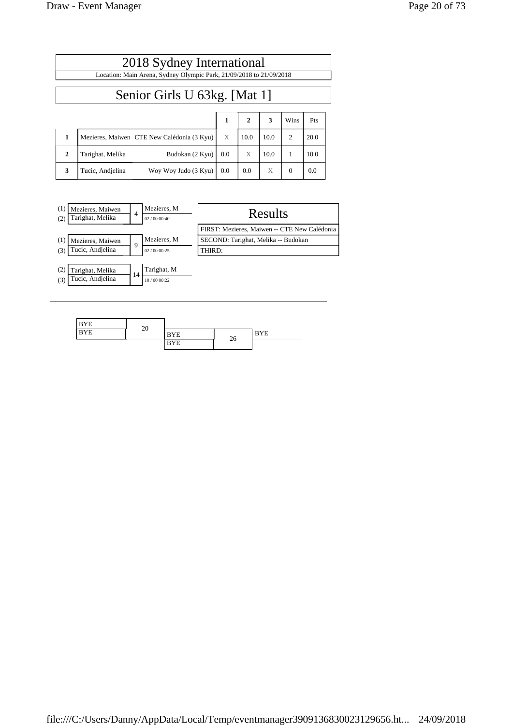|              | 2018 Sydney International                                           |     |      |      |                |      |  |  |  |  |
|--------------|---------------------------------------------------------------------|-----|------|------|----------------|------|--|--|--|--|
|              | Location: Main Arena, Sydney Olympic Park, 21/09/2018 to 21/09/2018 |     |      |      |                |      |  |  |  |  |
|              | Senior Girls U 63kg. [Mat 1]                                        |     |      |      |                |      |  |  |  |  |
|              | $\mathbf{2}$<br>3<br>1<br>Wins<br>Pts                               |     |      |      |                |      |  |  |  |  |
| 1            | Mezieres, Maiwen CTE New Calédonia (3 Kyu)                          | X   | 10.0 | 10.0 | $\overline{c}$ | 20.0 |  |  |  |  |
| $\mathbf{2}$ | Tarighat, Melika<br>Budokan (2 Kyu)                                 | 0.0 | X    | 10.0 |                | 10.0 |  |  |  |  |

**3** Tucic, Andjelina Woy Woy Judo (3 Kyu) 0.0 0.0 X 0 0.0

| (1)<br>Mezieres, Maiwen<br>Tarighat, Melika<br>(2) | 4  | Mezieres, M<br>02/0000:40 | Results                                      |
|----------------------------------------------------|----|---------------------------|----------------------------------------------|
|                                                    |    |                           | FIRST: Mezieres, Maiwen -- CTE New Calédonia |
| (1)<br>Mezieres, Maiwen                            | 9  | Mezieres, M               | SECOND: Tarighat, Melika -- Budokan          |
| Tucic, Andjelina<br>(3)                            |    | 02/0000:25                | THIRD:                                       |
|                                                    |    |                           |                                              |
| (2)<br>Tarighat, Melika                            | 14 | Tarighat, M               |                                              |
| Tucic, Andjelina<br>(3)                            |    | 10/00 00:22               |                                              |

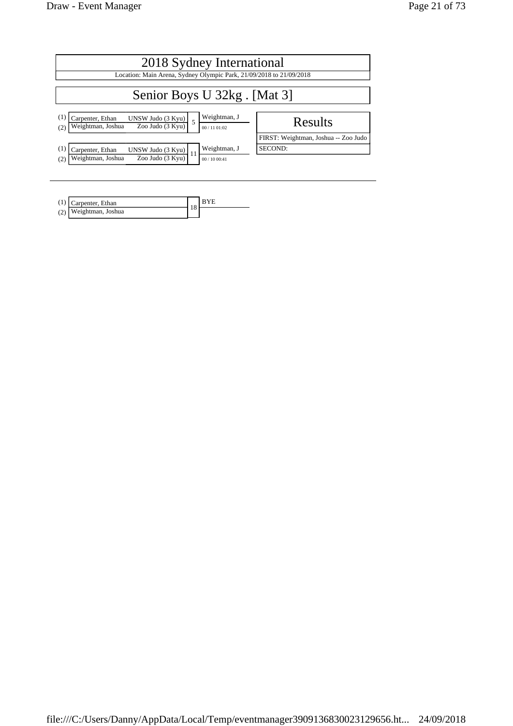| 2018 Sydney International                                                                                                     |                                                                     |  |  |  |  |  |  |  |  |
|-------------------------------------------------------------------------------------------------------------------------------|---------------------------------------------------------------------|--|--|--|--|--|--|--|--|
|                                                                                                                               | Location: Main Arena, Sydney Olympic Park, 21/09/2018 to 21/09/2018 |  |  |  |  |  |  |  |  |
| Senior Boys U 32kg. [Mat 3]                                                                                                   |                                                                     |  |  |  |  |  |  |  |  |
| Weightman, J<br>(1)<br>Carpenter, Ethan<br>UNSW Judo (3 Kyu)<br>Zoo Judo (3 Kyu)<br>Weightman, Joshua<br>00 / 11 01:02<br>(2) | Results                                                             |  |  |  |  |  |  |  |  |
| Weightman, J<br>(1)<br>Carpenter, Ethan<br>UNSW Judo (3 Kyu)                                                                  | FIRST: Weightman, Joshua -- Zoo Judo<br>SECOND:                     |  |  |  |  |  |  |  |  |
| Zoo Judo (3 Kyu)<br>Weightman, Joshua<br>(2)<br>00/1000:41                                                                    |                                                                     |  |  |  |  |  |  |  |  |

| Carpenter, Ethan      |    |  |
|-----------------------|----|--|
| (2) Weightman, Joshua | 10 |  |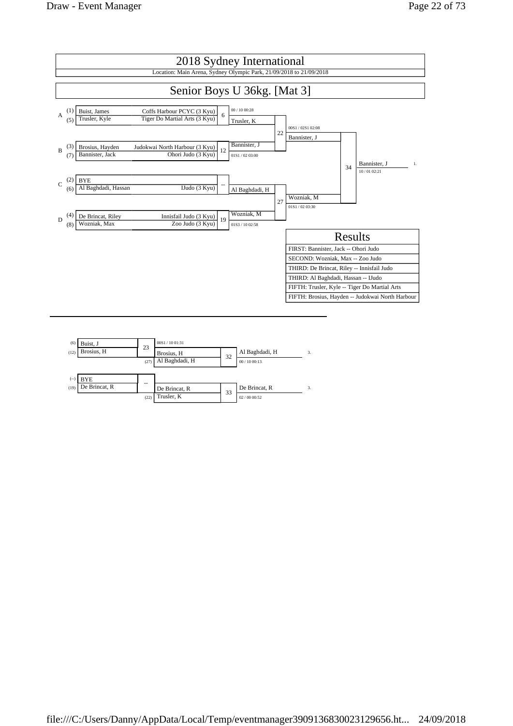

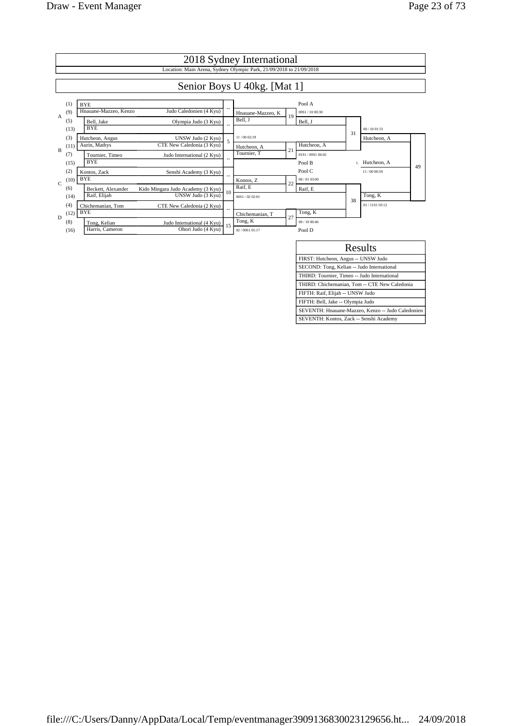

SECOND: Tong, Kelian -- Judo International THIRD: Tournier, Timeo -- Judo International THIRD: Chichemanian, Tom -- CTE New Caledonia

SEVENTH: Hnauane-Mazzeo, Kenzo -- Judo Caledonien SEVENTH: Kontos, Zack -- Senshi Academy

FIFTH: Raif, Elijah -- UNSW Judo FIFTH: Bell, Jake -- Olympia Judo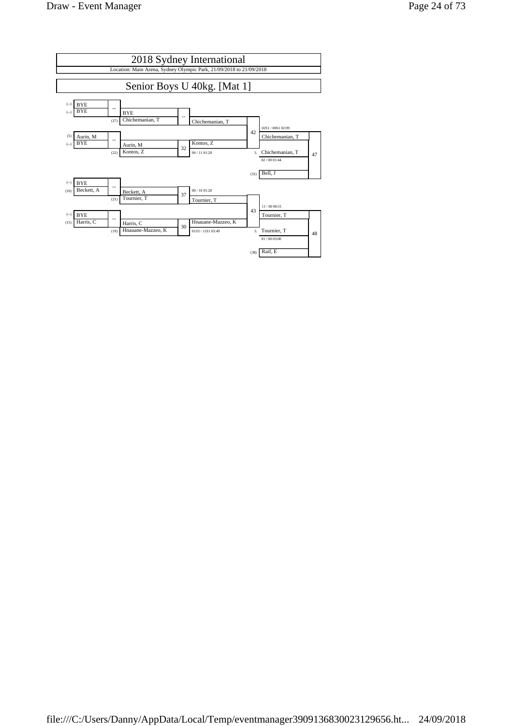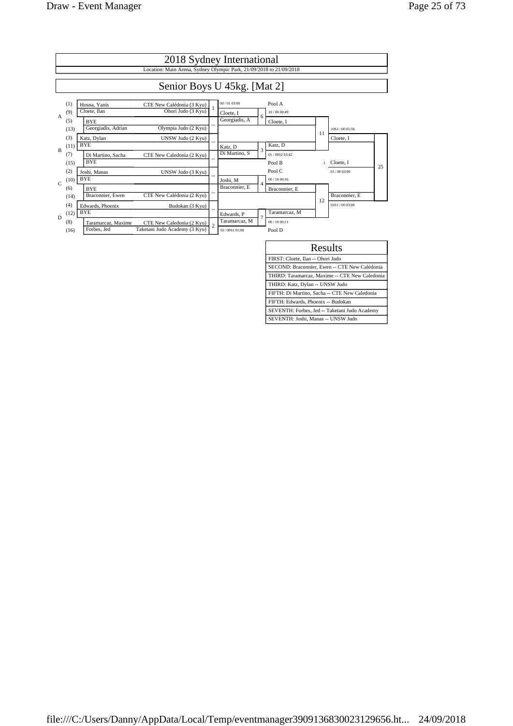|                | 2018 Sydney International                                           |                                                                                                 |                |                                |   |                         |    |                 |    |  |  |
|----------------|---------------------------------------------------------------------|-------------------------------------------------------------------------------------------------|----------------|--------------------------------|---|-------------------------|----|-----------------|----|--|--|
|                | Location: Main Arena, Sydney Olympic Park, 21/09/2018 to 21/09/2018 |                                                                                                 |                |                                |   |                         |    |                 |    |  |  |
|                | Senior Boys U 45kg. [Mat 2]                                         |                                                                                                 |                |                                |   |                         |    |                 |    |  |  |
| $\overline{A}$ | (1)<br>(9)                                                          | Hosna, Yanis<br>CTE New Calédonia (3 Kyu)<br>Ohori Judo (3 Kyu)<br>Cloete, Ilan                 |                | 00/01 03:00<br>Cloete, I       |   | Pool A<br>10/00 00:49   |    |                 |    |  |  |
|                | (5)<br>(13)                                                         | <b>BYE</b><br>Georgiadis, Adrian<br>Olympia Judo (2 Kyu)                                        |                | Georgiadis, A                  | 6 | Cloete, I               | 11 | 10S1/00 05:56   |    |  |  |
| B              | (3)<br>(11)                                                         | Katz, Dylan<br>UNSW Judo (2 Kyu)<br><b>BYE</b>                                                  |                | Katz, D                        | 3 | Katz, D                 |    | Cloete, I       |    |  |  |
|                | (7)<br>(15)                                                         | CTE New Caledonia (2 Kyu)<br>Di Martino, Sacha<br><b>BYE</b>                                    |                | Di Martino, S                  |   | 01/0082 03:42<br>Pool B |    | 1. Cloete, I    | 25 |  |  |
| $\mathcal{C}$  | (2)<br>(10)                                                         | UNSW Judo (3 Kyu)<br>Joshi, Manas<br><b>BYE</b>                                                 |                | Joshi, M                       | 4 | Pool C<br>00/1000:16    |    | 01/00 03:00     |    |  |  |
|                | (6)<br>(14)                                                         | <b>BYE</b><br>Braconnier, Ewen<br>CTE New Calédonia (2 Kyu)                                     |                | Braconnier, E                  |   | Braconnier, E           | 12 | Braconnier, E   |    |  |  |
| D              | (4)<br>(12)                                                         | Edwards, Phoenix<br>Budokan (3 Kyu)<br><b>BYE</b>                                               |                | Edwards, P                     | 7 | Taramarcaz, M           |    | 01S1 / 00.03:00 |    |  |  |
|                | (8)<br>(16)                                                         | Taramarcaz, Maxime<br>CTE New Caledonia (2 Kyu)<br>Taketani Judo Academy (3 Kyu)<br>Forbes, Jed | $\overline{2}$ | Taramarcaz, M<br>10/00S1 01:08 |   | 00/1000:11<br>Pool D    |    |                 |    |  |  |

| Results                                        |  |  |  |  |  |  |
|------------------------------------------------|--|--|--|--|--|--|
| FIRST: Cloete, Ilan -- Ohori Judo              |  |  |  |  |  |  |
| SECOND: Braconnier, Ewen -- CTE New Calédonia  |  |  |  |  |  |  |
| THIRD: Taramarcaz, Maxime -- CTE New Caledonia |  |  |  |  |  |  |
| THIRD: Katz, Dylan -- UNSW Judo                |  |  |  |  |  |  |
| FIFTH: Di Martino, Sacha -- CTE New Caledonia  |  |  |  |  |  |  |
| FIFTH: Edwards, Phoenix -- Budokan             |  |  |  |  |  |  |
| SEVENTH: Forbes, Jed -- Taketani Judo Academy  |  |  |  |  |  |  |
| SEVENTH: Joshi, Manas -- UNSW Judo             |  |  |  |  |  |  |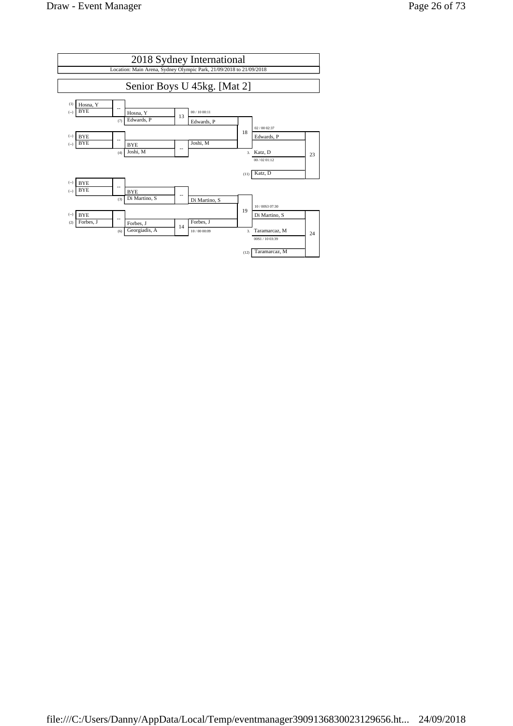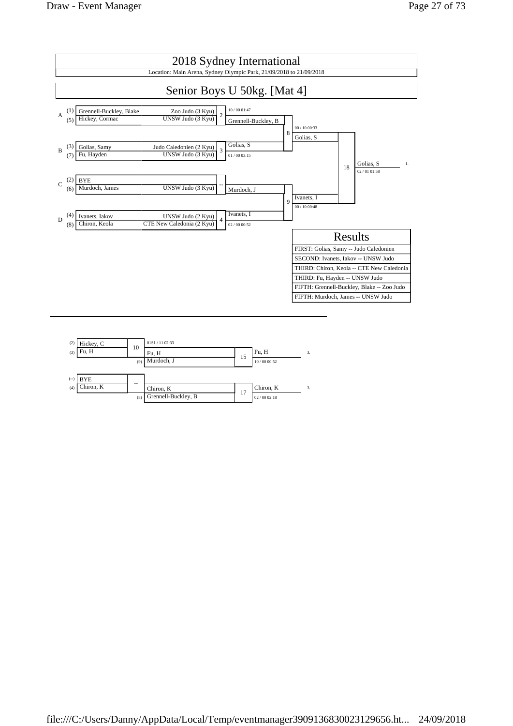

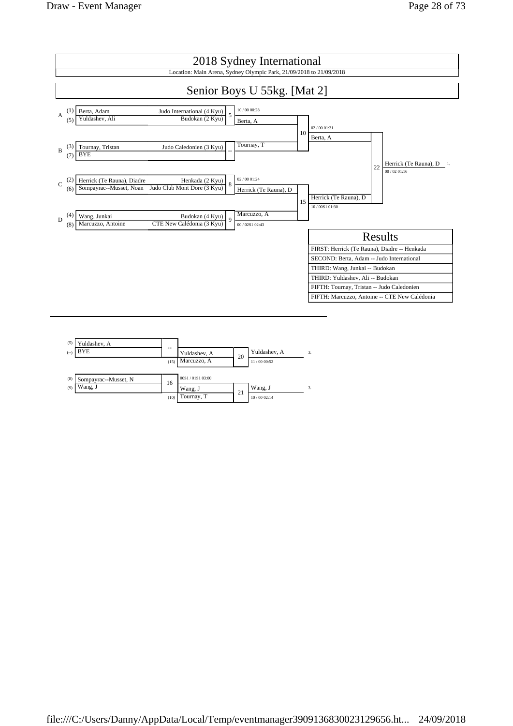|             | 2018 Sydney International                                           |                                   |                                                                        |              |                                        |    |                                               |    |                          |
|-------------|---------------------------------------------------------------------|-----------------------------------|------------------------------------------------------------------------|--------------|----------------------------------------|----|-----------------------------------------------|----|--------------------------|
|             | Location: Main Arena, Sydney Olympic Park, 21/09/2018 to 21/09/2018 |                                   |                                                                        |              |                                        |    |                                               |    |                          |
|             |                                                                     |                                   |                                                                        |              | Senior Boys U 55kg. [Mat 2]            |    |                                               |    |                          |
| A           |                                                                     | Berta, Adam<br>Yuldashev, Ali     | Judo International (4 Kyu)<br>Budokan (2 Kyu)                          | 5            | 10/00 00:28<br>Berta, A                | 10 | 02/00 01:31                                   |    |                          |
| B           | (3)<br>(7)                                                          | Tournay, Tristan<br><b>BYE</b>    | Judo Caledonien (3 Kyu)                                                |              | Tournay, T                             |    | Berta, A                                      |    | Herrick (Te Rauna), D 1. |
| $\mathbf C$ | (6)                                                                 | Herrick (Te Rauna), Diadre        | Henkada (2 Kyu)<br>Sompayrac--Musset, Noan Judo Club Mont Dore (3 Kyu) | 8            | 02 / 00 01:24<br>Herrick (Te Rauna), D | 15 | Herrick (Te Rauna), D                         | 22 | 00/02.01:16              |
| D           | (4)<br>(8)                                                          | Wang, Junkai<br>Marcuzzo, Antoine | Budokan (4 Kyu)<br>CTE New Calédonia (3 Kyu)                           | $\mathbf{Q}$ | Marcuzzo, A<br>00 / 02S1 02:43         |    | 10/00S1 01:30                                 |    |                          |
|             |                                                                     |                                   |                                                                        |              |                                        |    |                                               |    | Results                  |
|             |                                                                     |                                   |                                                                        |              |                                        |    | FIRST: Herrick (Te Rauna), Diadre -- Henkada  |    |                          |
|             |                                                                     |                                   |                                                                        |              |                                        |    | SECOND: Berta, Adam -- Judo International     |    |                          |
|             |                                                                     |                                   |                                                                        |              |                                        |    | THIRD: Wang, Junkai -- Budokan                |    |                          |
|             |                                                                     |                                   |                                                                        |              |                                        |    | THIRD: Yuldashev, Ali -- Budokan              |    |                          |
|             |                                                                     |                                   |                                                                        |              |                                        |    | FIFTH: Tournay, Tristan -- Judo Caledonien    |    |                          |
|             |                                                                     |                                   |                                                                        |              |                                        |    | FIFTH: Marcuzzo, Antoine -- CTE New Calédonia |    |                          |
|             |                                                                     |                                   |                                                                        |              |                                        |    |                                               |    |                          |
|             |                                                                     |                                   |                                                                        |              |                                        |    |                                               |    |                          |

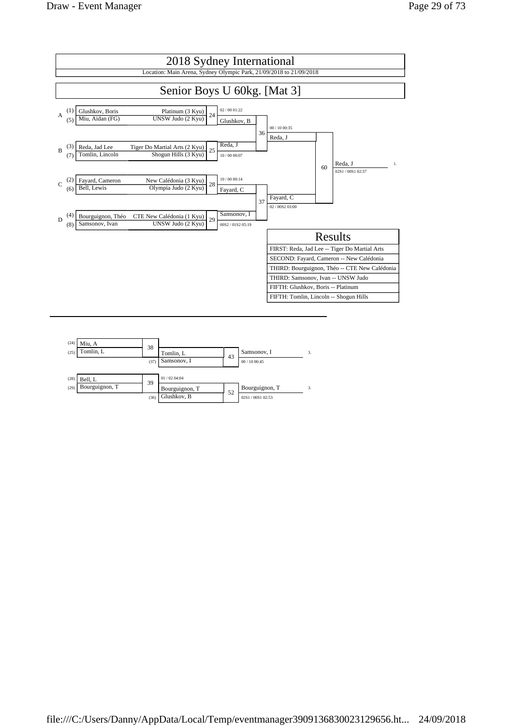

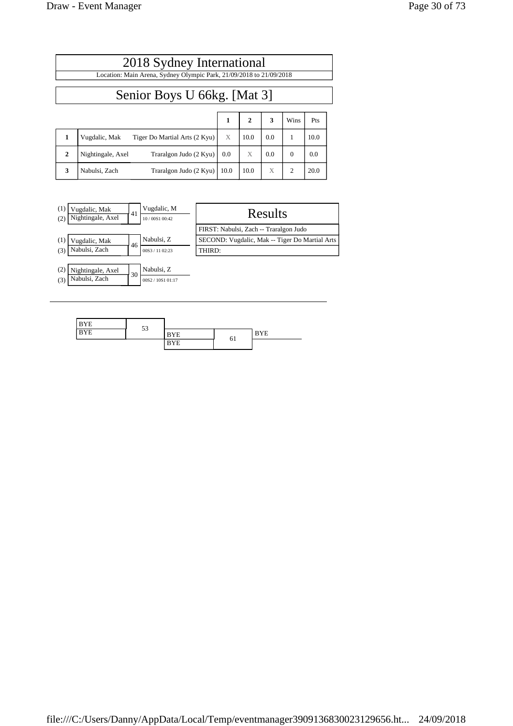|              | 2018 Sydney International                                                                                                                                                                                                      |      |      |     |          |      |  |
|--------------|--------------------------------------------------------------------------------------------------------------------------------------------------------------------------------------------------------------------------------|------|------|-----|----------|------|--|
|              | Location: Main Arena, Sydney Olympic Park, 21/09/2018 to 21/09/2018<br>Senior Boys U 66kg. [Mat 3]<br>3<br>1<br>$\mathbf{2}$<br>Pts<br>Wins<br>X<br>0.0<br>10.0<br>1<br>10.0<br>Vugdalic, Mak<br>Tiger Do Martial Arts (2 Kyu) |      |      |     |          |      |  |
|              |                                                                                                                                                                                                                                |      |      |     |          |      |  |
|              |                                                                                                                                                                                                                                |      |      |     |          |      |  |
| 1            |                                                                                                                                                                                                                                |      |      |     |          |      |  |
| $\mathbf{2}$ | Nightingale, Axel<br>Traralgon Judo (2 Kyu)                                                                                                                                                                                    | 0.0  | X    | 0.0 | $\Omega$ | 0.0  |  |
| 3            | Nabulsi, Zach<br>Traralgon Judo (2 Kyu)                                                                                                                                                                                        | 10.0 | 10.0 | X   | 2        | 20.0 |  |

| (1)<br>Vugdalic, Mak<br>Nightingale, Axel<br>(2) | 41 | Vugdalic, M<br>10/00S1 00:42 | Results                                        |
|--------------------------------------------------|----|------------------------------|------------------------------------------------|
|                                                  |    |                              | FIRST: Nabulsi, Zach -- Traralgon Judo         |
| (1)<br>Vugdalic, Mak                             |    | Nabulsi, Z                   | SECOND: Vugdalic, Mak -- Tiger Do Martial Arts |
| Nabulsi, Zach<br>(3)                             | 46 | 00S3 / 11 02:23              | THIRD:                                         |
|                                                  |    |                              |                                                |
| (2)<br>Nightingale, Axel                         | 30 | Nabulsi, Z                   |                                                |
| Nabulsi, Zach<br>(3)                             |    | 00S2 / 10S1 01:17            |                                                |

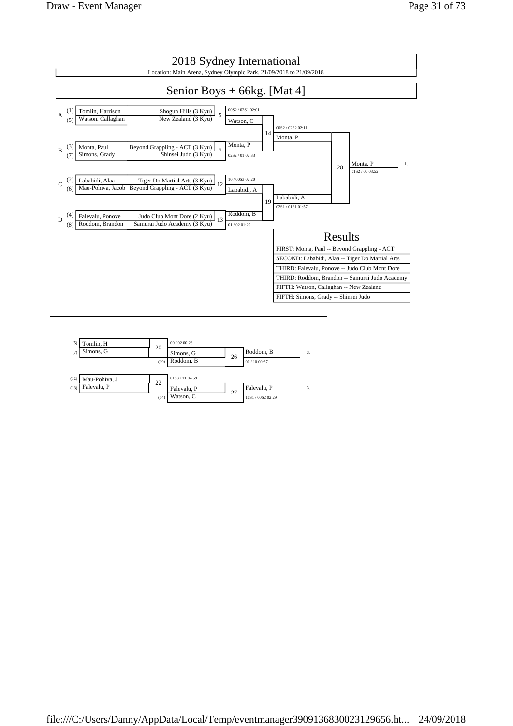

| (5)  | Tomlin, H     | 20   | 00/0200:28      |    |                 |    |
|------|---------------|------|-----------------|----|-----------------|----|
| (7)  | Simons, G     |      | Simons, G       | 26 | Roddom, B       |    |
|      |               | (19) | Roddom, B       |    | 00 / 10 00:37   |    |
|      |               |      |                 |    |                 |    |
| (12) | Mau-Pohiva, J | 22   | 01S3 / 11 04:59 |    |                 |    |
| (13) | Falevalu, P   |      | Falevalu, P     | 27 | Falevalu, P     | 3. |
|      |               | (14) | Watson, C       |    | 10S1/00S2 02:29 |    |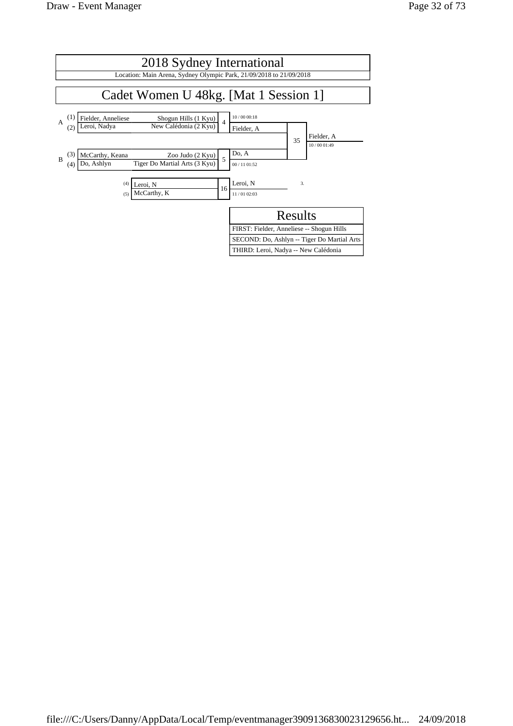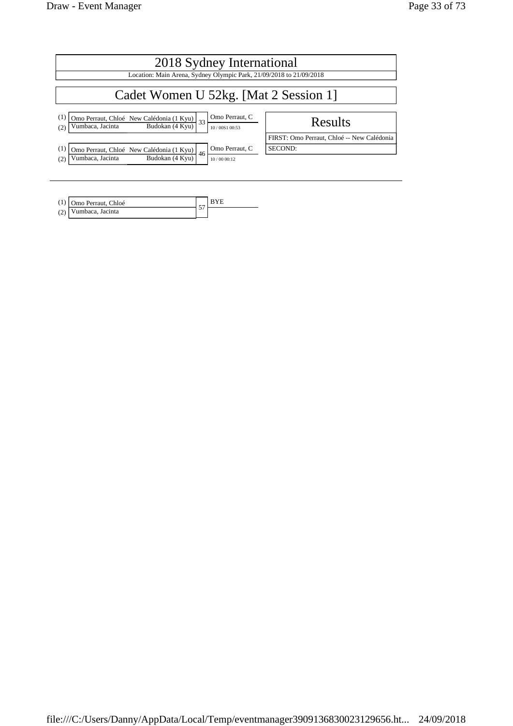| 2018 Sydney International                                                                                                           |                                            |
|-------------------------------------------------------------------------------------------------------------------------------------|--------------------------------------------|
| Location: Main Arena, Sydney Olympic Park, 21/09/2018 to 21/09/2018                                                                 |                                            |
| Cadet Women U 52kg. [Mat 2 Session 1]                                                                                               |                                            |
| Omo Perraut, C<br>(1)<br>Omo Perraut, Chloé New Calédonia (1 Kyu) 33<br>Budokan (4 Kyu)<br>Vumbaca, Jacinta<br>10/00S1 00:53<br>(2) | Results                                    |
|                                                                                                                                     | FIRST: Omo Perraut, Chloé -- New Calédonia |
| Omo Perraut, C<br>(1)<br>Omo Perraut, Chloé New Calédonia (1 Kyu)<br>46                                                             | SECOND:                                    |
| Budokan (4 Kyu)<br>Vumbaca, Jacinta<br>(2)<br>10/00 00:12                                                                           |                                            |

| (1) Omo Perraut, Chloé |  |
|------------------------|--|
| (2) Vumbaca, Jacinta   |  |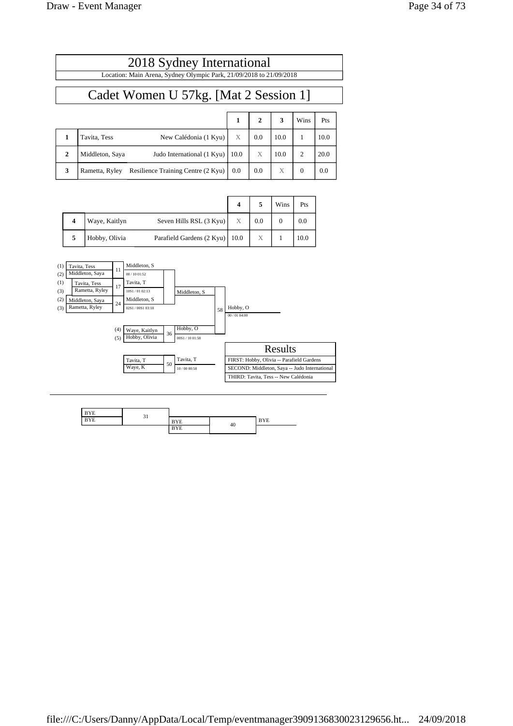$\overline{\phantom{a}}$ 

|              | 2018 Sydney International                                           |      |              |      |          |      |  |  |
|--------------|---------------------------------------------------------------------|------|--------------|------|----------|------|--|--|
|              | Location: Main Arena, Sydney Olympic Park, 21/09/2018 to 21/09/2018 |      |              |      |          |      |  |  |
|              | Cadet Women U 57kg. [Mat 2 Session 1]                               |      |              |      |          |      |  |  |
|              |                                                                     | 1    | $\mathbf{2}$ | 3    | Wins     | Pts  |  |  |
|              | Tavita, Tess<br>New Calédonia (1 Kyu)                               | X    | 0.0          | 10.0 | 1        | 10.0 |  |  |
| $\mathbf{2}$ | Judo International (1 Kyu)<br>Middleton, Saya                       | 10.0 | X            | 10.0 | 2        | 20.0 |  |  |
| 3            | Resilience Training Centre (2 Kyu)<br>Rametta, Ryley                | 0.0  | 0.0          | X    | $\Omega$ | 0.0  |  |  |

|   |               |                                  |   |     | Wins | Pts  |
|---|---------------|----------------------------------|---|-----|------|------|
|   | Waye, Kaitlyn | Seven Hills RSL (3 Kyu)          | X | 0.0 |      | 0.0  |
| 5 | Hobby, Olivia | Parafield Gardens (2 Kyu)   10.0 |   | Χ   |      | 10.0 |



| $-$ |                               |               |    |     |
|-----|-------------------------------|---------------|----|-----|
| .   | -<br>$\overline{\phantom{a}}$ | $-$           |    | --- |
|     |                               | $\sim$ $\sim$ | 40 |     |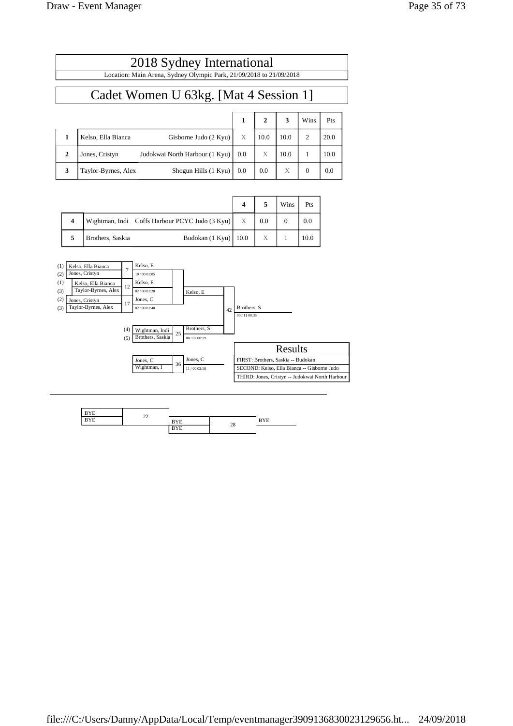|                                       | 2018 Sydney International<br>Location: Main Arena, Sydney Olympic Park, 21/09/2018 to 21/09/2018 |     |              |      |          |      |  |  |  |
|---------------------------------------|--------------------------------------------------------------------------------------------------|-----|--------------|------|----------|------|--|--|--|
| Cadet Women U 63kg. [Mat 4 Session 1] |                                                                                                  |     |              |      |          |      |  |  |  |
|                                       |                                                                                                  | 1   | $\mathbf{2}$ | 3    | Wins     | Pts  |  |  |  |
| 1                                     | Kelso, Ella Bianca<br>Gisborne Judo (2 Kyu)                                                      | X   | 10.0         | 10.0 | 2        | 20.0 |  |  |  |
| $\mathbf{2}$                          | Judokwai North Harbour (1 Kyu)<br>Jones, Cristyn                                                 | 0.0 | X            | 10.0 | 1        | 10.0 |  |  |  |
| 3                                     | Shogun Hills (1 Kyu)<br>Taylor-Byrnes, Alex                                                      | 0.0 | 0.0          | X    | $\Omega$ | 0.0  |  |  |  |

|                     |                  |                                                | $\boldsymbol{4}$ |                  | Wins | Pts  |
|---------------------|------------------|------------------------------------------------|------------------|------------------|------|------|
| $\overline{\bf{4}}$ |                  | Wightman, Indi Coffs Harbour PCYC Judo (3 Kyu) | X                | 0.0              |      | 0.0  |
|                     | Brothers, Saskia | Budokan $(1$ Kyu $)$ 10.0                      |                  | $\boldsymbol{X}$ |      | 10.0 |



| ---        | $\sim$ |     |        |          |
|------------|--------|-----|--------|----------|
| ---<br>BYE | --     | --- | $\sim$ | 7.77<br> |
|            |        |     | 28     |          |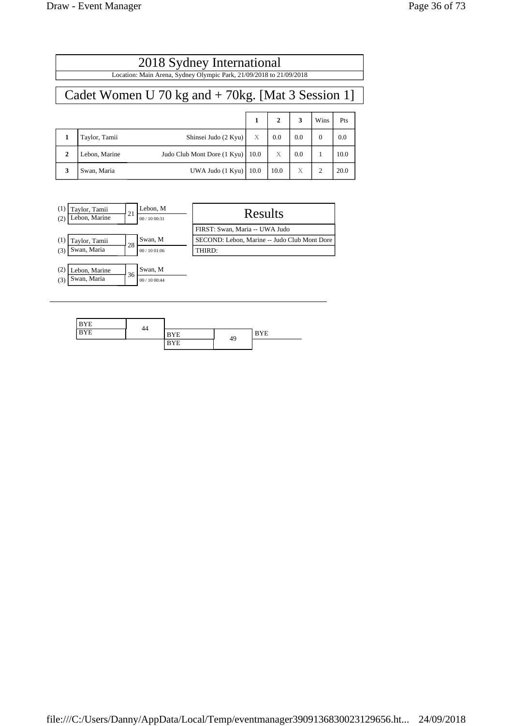|              | 2018 Sydney International<br>Location: Main Arena, Sydney Olympic Park, 21/09/2018 to 21/09/2018 |                             |      |              |     |                |      |  |  |
|--------------|--------------------------------------------------------------------------------------------------|-----------------------------|------|--------------|-----|----------------|------|--|--|
|              | Cadet Women U 70 kg and $+$ 70 kg. [Mat 3 Session 1]                                             |                             |      |              |     |                |      |  |  |
|              |                                                                                                  |                             | 1    | $\mathbf{2}$ | 3   | Wins           | Pts  |  |  |
|              | Taylor, Tamii                                                                                    | Shinsei Judo (2 Kyu)        | X    | 0.0          | 0.0 | $\Omega$       | 0.0  |  |  |
| $\mathbf{2}$ | Lebon, Marine                                                                                    | Judo Club Mont Dore (1 Kyu) | 10.0 | X            | 0.0 |                | 10.0 |  |  |
| 3            | Swan, Maria                                                                                      | UWA Judo (1 Kyu)            | 10.0 | 10.0         | X   | $\mathfrak{D}$ | 20.0 |  |  |

| (1)<br>(2) | Taylor, Tamii<br>Lebon, Marine | 21 | Lebon, M<br>00/1000:31 | Results                                      |
|------------|--------------------------------|----|------------------------|----------------------------------------------|
|            |                                |    |                        | FIRST: Swan, Maria -- UWA Judo               |
| (1)        | Taylor, Tamii                  | 28 | Swan, M                | SECOND: Lebon, Marine -- Judo Club Mont Dore |
| (3)        | Swan, Maria                    |    | 00/1001:06             | THIRD:                                       |
|            |                                |    |                        |                                              |
| (2)        | Lebon, Marine                  | 36 | Swan, M                |                                              |
| (3)        | Swan, Maria                    |    | 00/1000:44             |                                              |

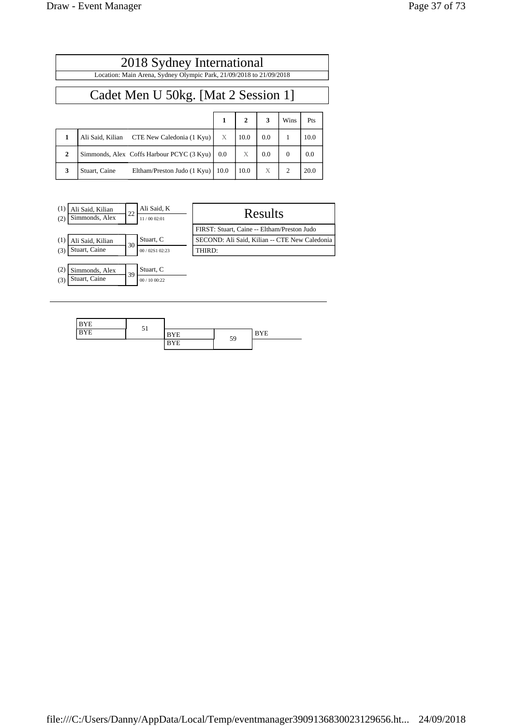| 2018 Sydney International                                           |                                              |      |              |     |          |      |  |
|---------------------------------------------------------------------|----------------------------------------------|------|--------------|-----|----------|------|--|
| Location: Main Arena, Sydney Olympic Park, 21/09/2018 to 21/09/2018 |                                              |      |              |     |          |      |  |
| Cadet Men U 50kg. [Mat 2 Session 1]                                 |                                              |      |              |     |          |      |  |
|                                                                     |                                              | 1    | $\mathbf{2}$ | 3   | Wins     | Pts  |  |
| 1                                                                   | Ali Said, Kilian CTE New Caledonia (1 Kyu)   | X    | 10.0         | 0.0 | 1        | 10.0 |  |
| $\mathbf{2}$                                                        | Simmonds, Alex Coffs Harbour PCYC (3 Kyu)    | 0.0  | X            | 0.0 | $\Omega$ | 0.0  |  |
| 3                                                                   | Stuart, Caine<br>Eltham/Preston Judo (1 Kyu) | 10.0 | 10.0         | X   | 2        | 20.0 |  |

| (1)<br>(2) | Ali Said, Kilian<br>Simmonds, Alex | 22 | Ali Said, K<br>11/00 02:01 | Results                                       |
|------------|------------------------------------|----|----------------------------|-----------------------------------------------|
|            |                                    |    |                            | FIRST: Stuart, Caine -- Eltham/Preston Judo   |
| (1)        | Ali Said, Kilian                   | 30 | Stuart, C                  | SECOND: Ali Said, Kilian -- CTE New Caledonia |
| (3)        | Stuart, Caine                      |    | 00 / 02S1 02:23            | THIRD:                                        |
|            |                                    |    |                            |                                               |
| (2)        | Simmonds, Alex                     | 39 | Stuart, C                  |                                               |
| (3)        | Stuart, Caine                      |    | 00/1000:22                 |                                               |

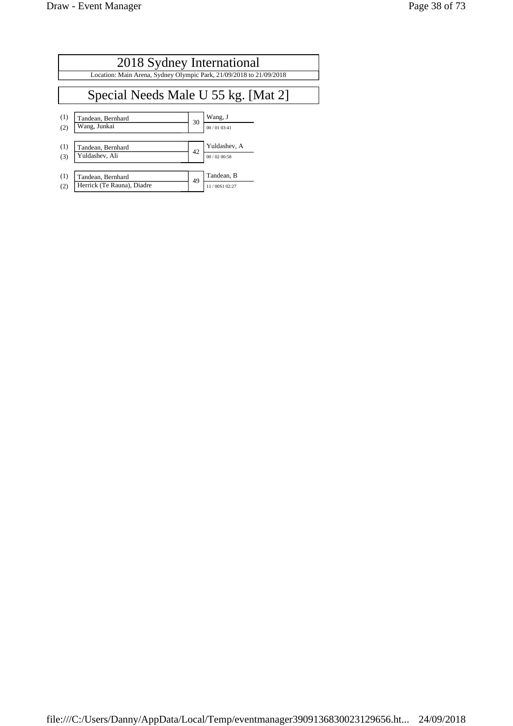|     | 2018 Sydney International<br>Location: Main Arena, Sydney Olympic Park, 21/09/2018 to 21/09/2018 |    |               |  |  |  |  |
|-----|--------------------------------------------------------------------------------------------------|----|---------------|--|--|--|--|
|     | Special Needs Male U 55 kg. [Mat 2]                                                              |    |               |  |  |  |  |
| (1) | Tandean, Bernhard                                                                                | 30 | Wang, J       |  |  |  |  |
| (2) | Wang, Junkai                                                                                     |    | 00/0103:41    |  |  |  |  |
| (1) | Tandean, Bernhard                                                                                | 42 | Yuldashev, A  |  |  |  |  |
| (3) | Yuldashev, Ali                                                                                   |    | 00/0200:58    |  |  |  |  |
| (1) | Tandean, Bernhard                                                                                | 49 | Tandean, B    |  |  |  |  |
| (2) | Herrick (Te Rauna), Diadre                                                                       |    | 11/00S1 02:27 |  |  |  |  |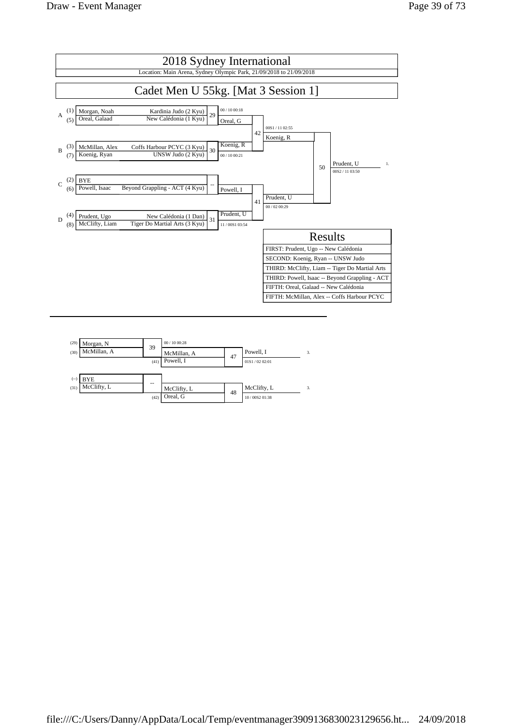

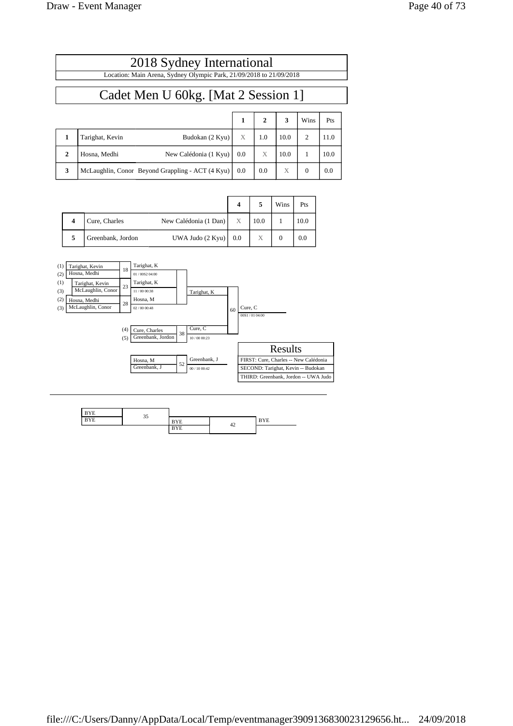$\overline{1}$ 

|              | 2018 Sydney International<br>Location: Main Arena, Sydney Olympic Park, 21/09/2018 to 21/09/2018 |     |              |      |                |      |  |
|--------------|--------------------------------------------------------------------------------------------------|-----|--------------|------|----------------|------|--|
|              | Cadet Men U 60kg. [Mat 2 Session 1]                                                              |     |              |      |                |      |  |
|              |                                                                                                  | 1   | $\mathbf{2}$ | 3    | Wins           | Pts  |  |
| 1            | Tarighat, Kevin<br>Budokan (2 Kyu)                                                               | X   | 1.0          | 10.0 | $\overline{c}$ | 11.0 |  |
| $\mathbf{2}$ | Hosna, Medhi<br>New Calédonia (1 Kyu)                                                            | 0.0 | X            | 10.0 | 1              | 10.0 |  |
| 3            | McLaughlin, Conor Beyond Grappling - ACT (4 Kyu)                                                 | 0.0 | 0.0          | X    | $\mathbf{0}$   | 0.0  |  |

|  |                   |                           |   |      | Wins | Pts  |
|--|-------------------|---------------------------|---|------|------|------|
|  | Cure, Charles     | New Calédonia (1 Dan)     | X | 10.0 |      | 10.0 |
|  | Greenbank, Jordon | UWA Judo $(2$ Kyu $)$ 0.0 |   | X    |      | 0.0  |



| ---       | $\sim$ $\sim$ |                      |    |      |
|-----------|---------------|----------------------|----|------|
| $-$<br>ΥE | -             | $\sim$ $\sim$<br>. . |    | $ -$ |
|           |               | $-$                  | 42 |      |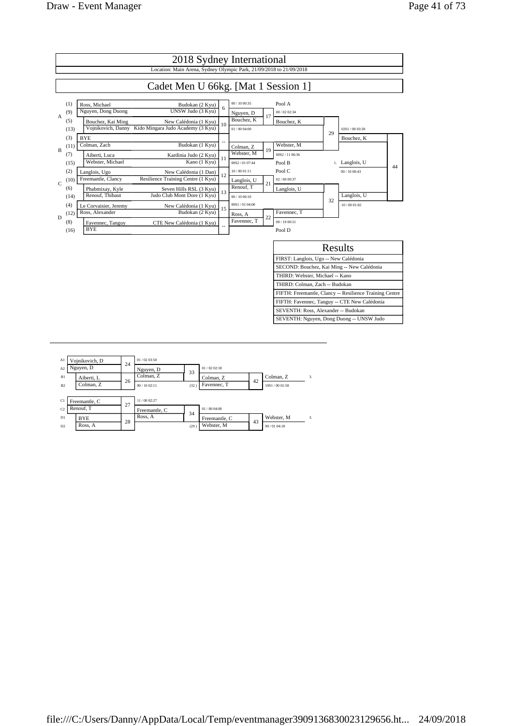

| A1             | Vojnikovich, D |    | 01/0203:50    |      |               |    |               |               |
|----------------|----------------|----|---------------|------|---------------|----|---------------|---------------|
| A <sub>2</sub> | Nguyen, D      | 24 | Nguyen, D     | 33   | 01/0202:18    |    |               |               |
| B1             | Aiberti, L     | 26 | Colman, Z     |      | Colman, Z     | 42 | Colman, Z     | 3.            |
| B <sub>2</sub> | Colman, Z      |    | 00/1002:11    | (32) | Favennec, T   |    | 10S1/00 01:58 |               |
|                |                |    |               |      |               |    |               |               |
| C1             | Freemantle, C  | 27 | 11/00 02:27   |      |               |    |               |               |
| C2             | Renouf. T      |    | Freemantle, C | 34   | 01/0004:00    |    |               |               |
| D1             | <b>BYE</b>     | 28 | Ross, A       |      | Freemantle, C | 43 | Webster, M    | $\mathcal{R}$ |
| D2             | Ross, A        |    |               | (29) | Webster, M    |    | 00/0104:18    |               |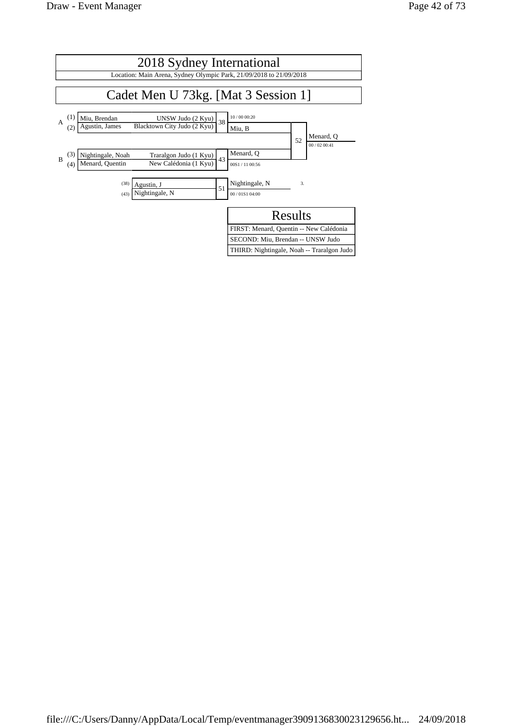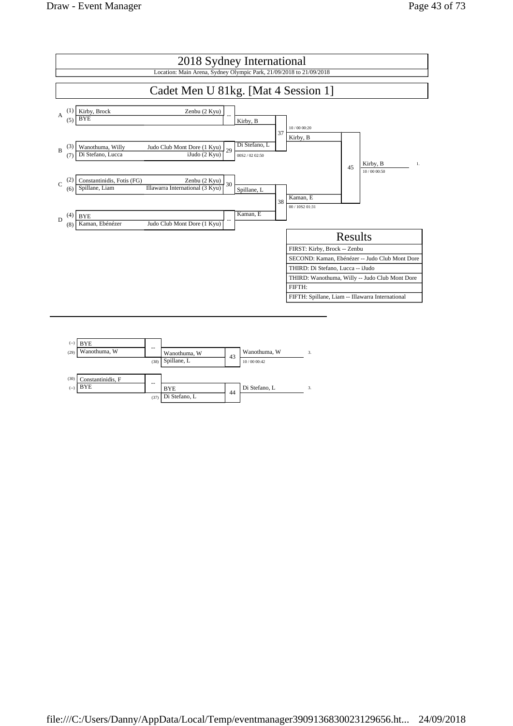

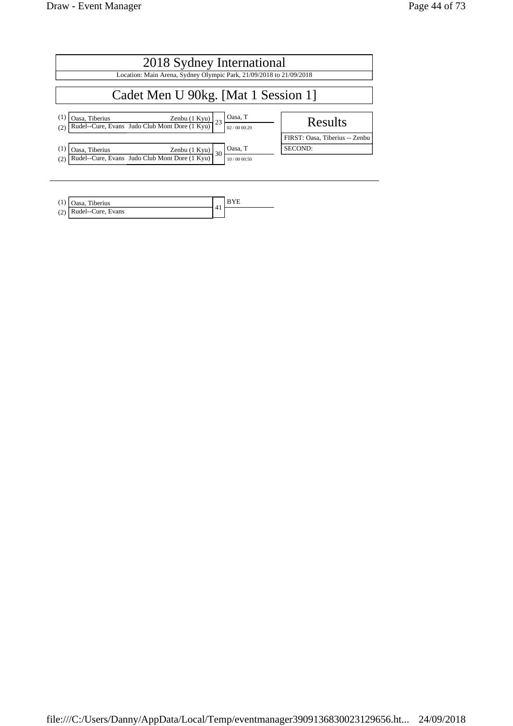| 2018 Sydney International                                                                                                          |                                |  |  |  |  |  |
|------------------------------------------------------------------------------------------------------------------------------------|--------------------------------|--|--|--|--|--|
| Location: Main Arena, Sydney Olympic Park, 21/09/2018 to 21/09/2018                                                                |                                |  |  |  |  |  |
| Cadet Men U 90kg. [Mat 1 Session 1]                                                                                                |                                |  |  |  |  |  |
| Oasa, T<br>(1)<br><b>Casa, Tiberius</b> Zenbu (1 Kyu)<br>Rudel--Cure, Evans Judo Club Mont Dore (1 Kyu)<br>23<br>(2)<br>02/0000:29 | Results                        |  |  |  |  |  |
|                                                                                                                                    | FIRST: Oasa, Tiberius -- Zenbu |  |  |  |  |  |
| Oasa, T<br>(1)<br>Oasa, Tiberius<br>Zenbu $(1$ Kyu $)$<br>30                                                                       | SECOND:                        |  |  |  |  |  |
| Rudel--Cure, Evans Judo Club Mont Dore (1 Kyu)<br>(2)<br>10/00 00:50                                                               |                                |  |  |  |  |  |

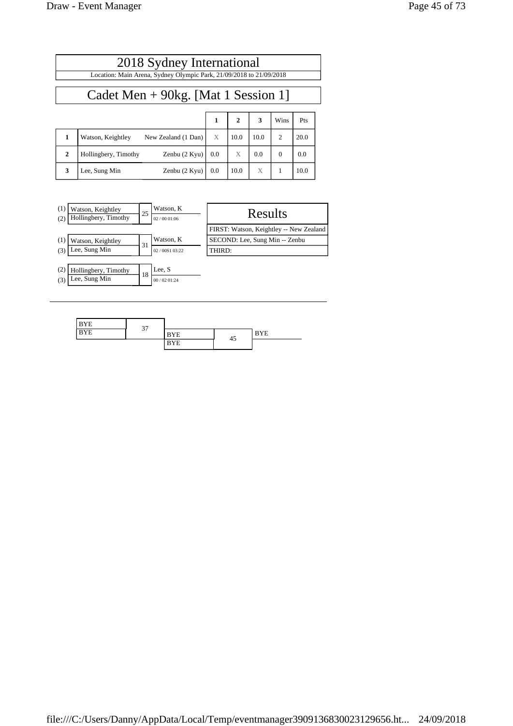$\Box$ 

| 2018 Sydney International                                           |  |  |
|---------------------------------------------------------------------|--|--|
| Location: Main Arena, Sydney Olympic Park, 21/09/2018 to 21/09/2018 |  |  |
|                                                                     |  |  |
| Cadet Men $+$ 90kg. [Mat 1 Session 1]                               |  |  |

|              |                      |                     |     |      |      | Wins     | Pts  |
|--------------|----------------------|---------------------|-----|------|------|----------|------|
|              | Watson, Keightley    | New Zealand (1 Dan) | X   | 10.0 | 10.0 |          | 20.0 |
| $\mathbf{2}$ | Hollingbery, Timothy | Zenbu (2 Kyu)       | 0.0 | X    | 0.0  | $\theta$ | 0.0  |
| 3            | Lee, Sung Min        | Zenbu (2 Kyu)       | 0.0 | 10.0 | Х    |          | 10.0 |

| (1)<br>(2) | Watson, Keightley<br>Hollingbery, Timothy | 25 | Watson, K<br>02/0001:06 | Results                                 |
|------------|-------------------------------------------|----|-------------------------|-----------------------------------------|
|            |                                           |    |                         | FIRST: Watson, Keightley -- New Zealand |
| (1)        | Watson, Keightley                         |    | Watson, K               | SECOND: Lee, Sung Min -- Zenbu          |
| (3)        | Lee, Sung Min                             | 31 | 02/00S1 03:22           | THIRD:                                  |
|            |                                           |    |                         |                                         |
| (2)        | Hollingbery, Timothy                      | 18 | Lee, S                  |                                         |
| (3)        | Lee, Sung Min                             |    | 00/0201:24              |                                         |

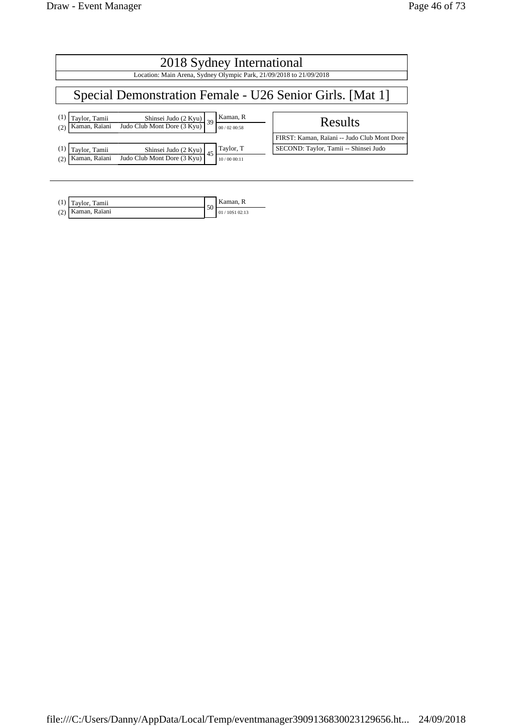| 2018 Sydney International<br>Location: Main Arena, Sydney Olympic Park, 21/09/2018 to 21/09/2018                                                                        |                                                                                      |  |  |  |  |
|-------------------------------------------------------------------------------------------------------------------------------------------------------------------------|--------------------------------------------------------------------------------------|--|--|--|--|
| Special Demonstration Female - U26 Senior Girls. [Mat 1]                                                                                                                |                                                                                      |  |  |  |  |
| Kaman, R<br>(1)<br>Taylor, Tamii<br>$\frac{\text{Shinsei Judo} (2 \text{ Kyu})}{\text{Judo Club Mont Dore } (3 \text{ Kyu})} 39$<br>Kaman, Raïani<br>00/02 00:58<br>(2) | Results                                                                              |  |  |  |  |
| Taylor, T<br>(1)<br>Taylor, Tamii<br>Shinsei Judo (2 Kyu) $45$                                                                                                          | FIRST: Kaman, Raïani -- Judo Club Mont Dore<br>SECOND: Taylor, Tamii -- Shinsei Judo |  |  |  |  |
| Judo Club Mont Dore (3 Kyu)<br>Kaman, Raïani<br>(2,<br>10/00 00:11                                                                                                      |                                                                                      |  |  |  |  |

|     | $(1)$ Taylor, Tamii | 50 | Kaman, R      |
|-----|---------------------|----|---------------|
| (2) | Kaman, Raïani       |    | 01/10S1 02:13 |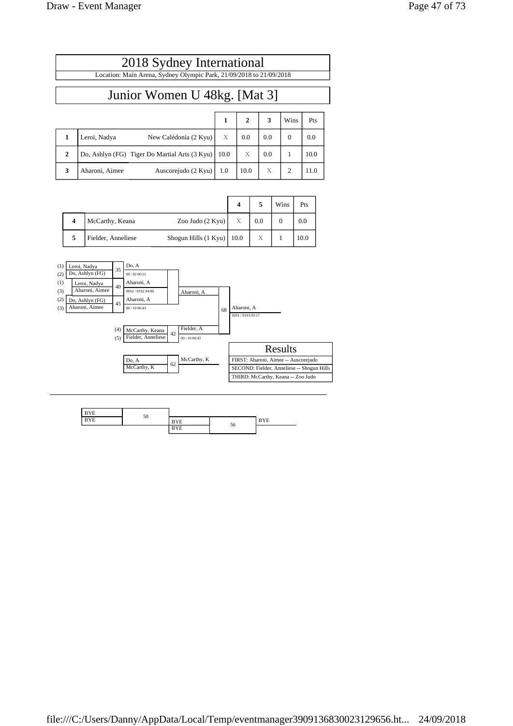| 2018 Sydney International                                           |
|---------------------------------------------------------------------|
| Location: Main Arena, Sydney Olympic Park, 21/09/2018 to 21/09/2018 |
|                                                                     |
| Junior Women U 48kg. [Mat 3]                                        |

|              |                                               | 1    |      | 3   | Wins          | Pts  |
|--------------|-----------------------------------------------|------|------|-----|---------------|------|
|              | New Calédonia (2 Kyu)<br>Leroi, Nadya         | X    | 0.0  | 0.0 | $\theta$      | 0.0  |
| $\mathbf{2}$ | Do, Ashlyn (FG) Tiger Do Martial Arts (3 Kyu) | 10.0 | X    | 0.0 |               | 10.0 |
| 3            | Auscorejudo (2 Kyu)<br>Aharoni, Aimee         | 1.0  | 10.0 | X   | $\mathcal{L}$ | 11.0 |

|   |                    |                             |   |     | Wins | Pts  |
|---|--------------------|-----------------------------|---|-----|------|------|
| 4 | McCarthy, Keana    | Zoo Judo (2 Kyu)            | X | 0.0 |      | 0.0  |
|   | Fielder, Anneliese | Shogun Hills (1 Kyu)   10.0 |   | Х   |      | 10.0 |



| $ -$ | $\overline{a}$ |               |    |     |
|------|----------------|---------------|----|-----|
| $ -$ | 50             | $-$<br>. .    |    | --- |
|      |                | $\sim$<br>. . | 56 |     |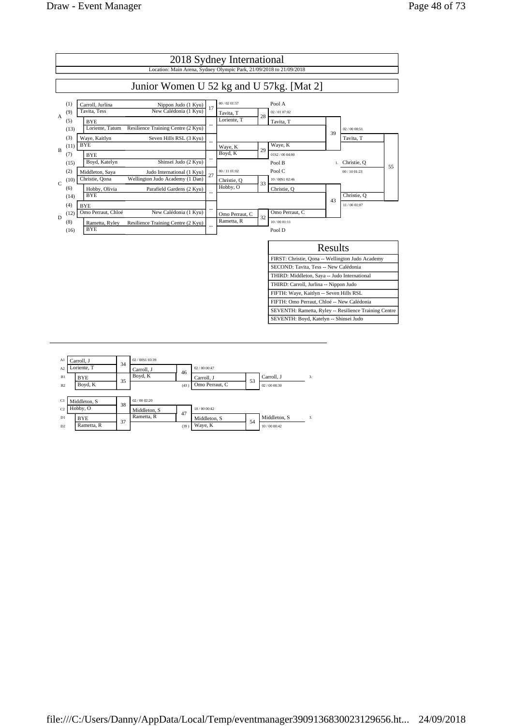

| A1             | Carroll, J   |    | 02/00S103:39 |      |                |    |              |                  |
|----------------|--------------|----|--------------|------|----------------|----|--------------|------------------|
| A <sub>2</sub> | Loriente. T  | 34 | Carroll, J   | 46   | 02/0000:47     |    |              |                  |
| B1             | BYE          | 35 | Boyd, K      |      | Carroll, J     | 53 | Carroll, J   | 3.               |
| B2             | Boyd, K      |    |              | (43) | Omo Perraut, C |    | 02/0000:30   |                  |
|                |              |    |              |      |                |    |              |                  |
| C1             | Middleton, S | 38 | 02/0002:20   |      |                |    |              |                  |
| C <sub>2</sub> | Hobby, O     |    | Middleton, S | 47   | 10/00 00:42    |    |              |                  |
| D1             | BYE          | 37 | Rametta, R   |      | Middleton, S   | 54 | Middleton, S | $\overline{3}$ . |
| D2             | Rametta, R   |    |              | (39) | Waye, K        |    | 10/00 00:42  |                  |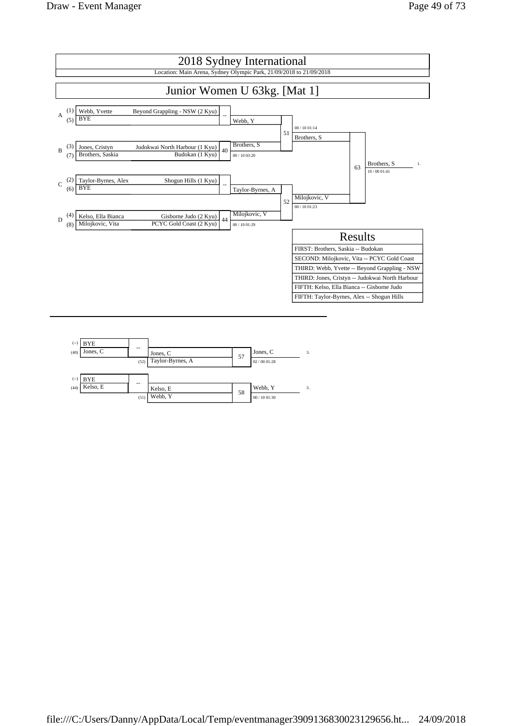

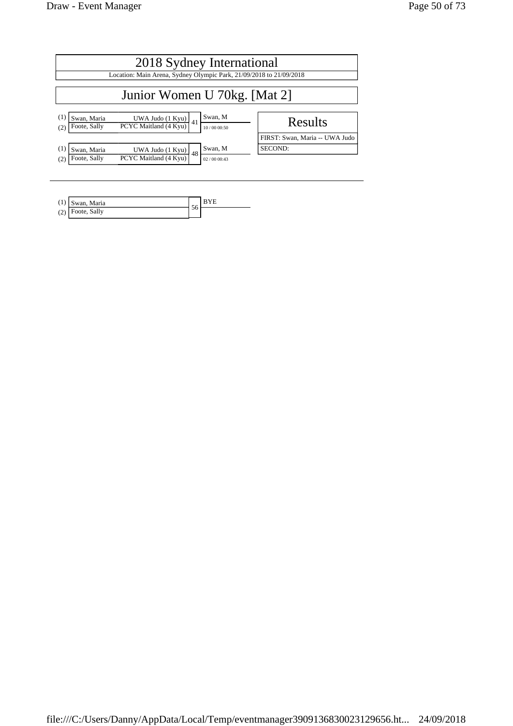| 2018 Sydney International                 |                                                                     |                                   |  |  |  |  |
|-------------------------------------------|---------------------------------------------------------------------|-----------------------------------|--|--|--|--|
|                                           | Location: Main Arena, Sydney Olympic Park, 21/09/2018 to 21/09/2018 |                                   |  |  |  |  |
| Junior Women U 70kg. [Mat 2]              |                                                                     |                                   |  |  |  |  |
| (1)<br>Swan, Maria<br>Foote, Sally<br>(2) | UWA Judo (1 Kyu)<br>41<br>PCYC Maitland (4 Kyu)                     | Swan, M<br>Results<br>10/00 00:50 |  |  |  |  |
|                                           |                                                                     | FIRST: Swan, Maria -- UWA Judo    |  |  |  |  |
| (1)<br>Swan, Maria<br>Foote, Sally<br>(2) | UWA Judo (1 Kyu)<br>48<br>PCYC Maitland (4 Kyu)                     | Swan, M<br>SECOND:<br>02/0000:43  |  |  |  |  |

| Swan, Maria        |     |  |
|--------------------|-----|--|
| $(2)$ Foote, Sally | JU. |  |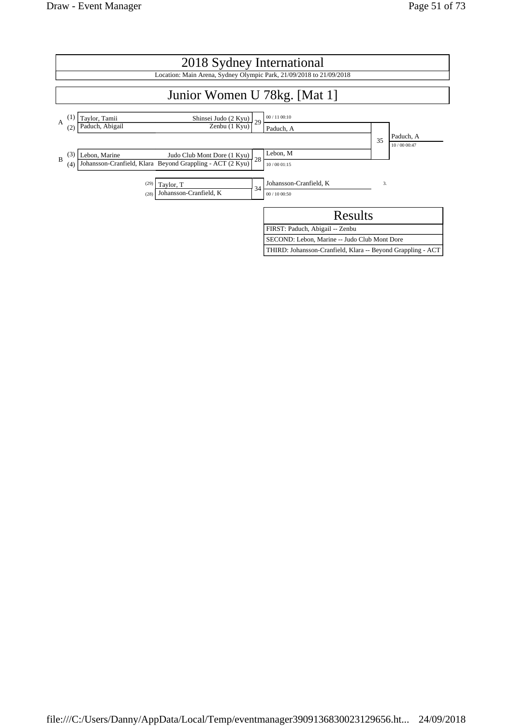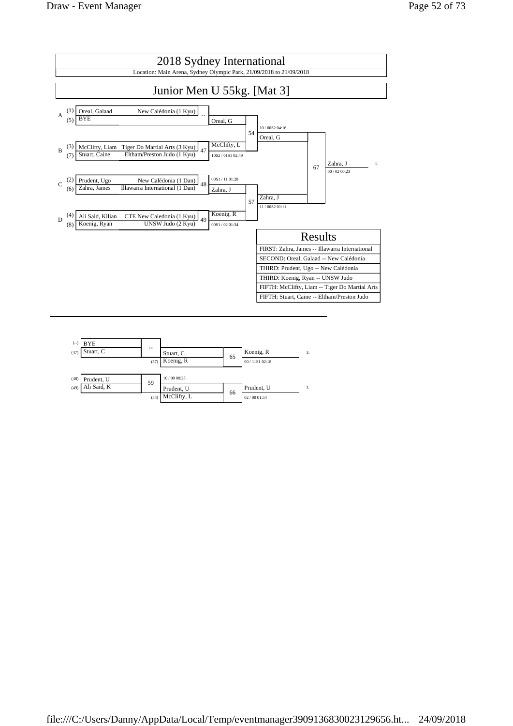

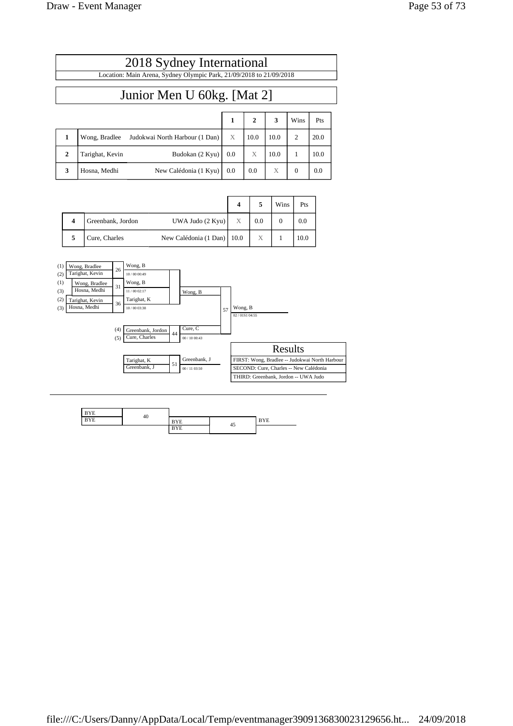$\mathsf{r}$ 

| 2018 Sydney International                                                              |  |                   |                                           |      |      |  |  |
|----------------------------------------------------------------------------------------|--|-------------------|-------------------------------------------|------|------|--|--|
| Location: Main Arena, Sydney Olympic Park, 21/09/2018 to 21/09/2018                    |  |                   |                                           |      |      |  |  |
|                                                                                        |  |                   |                                           |      |      |  |  |
| Junior Men U 60kg. [Mat 2]                                                             |  |                   |                                           |      |      |  |  |
|                                                                                        |  |                   |                                           |      |      |  |  |
|                                                                                        |  | $1 \mid 2 \mid 3$ |                                           | Wins | Pts  |  |  |
| Wong, Bradlee Judokwai North Harbour (1 Dan) $\begin{bmatrix} X \\ 10.0 \end{bmatrix}$ |  |                   | $\begin{vmatrix} 10.0 \\ 2 \end{vmatrix}$ |      | 20.0 |  |  |

| . . | $\overline{v}$ on $\overline{z}$ , Draunce | $3000 \text{N}$ with $1101 \text{m}$ that bout $11 \text{m}$ Daily | 10.0 | 10.V | $\sim$ |
|-----|--------------------------------------------|--------------------------------------------------------------------|------|------|--------|
|     | Tarighat, Kevin                            | Budokan $(2 Kyu)$   0.0                                            |      | 10.0 | 10.0   |
|     | Hosna, Medhi                               | New Calédonia (1 Kyu)   0.0                                        | 0.0  |      | 0.0    |
|     |                                            |                                                                    |      |      |        |

|                   |                              |                           |     | Wins | Pts  |
|-------------------|------------------------------|---------------------------|-----|------|------|
| Greenbank, Jordon | UWA Judo $(2$ Kyu $)$        | $\boldsymbol{\mathrm{X}}$ | 0.0 |      | 0.0  |
| Cure, Charles     | New Calédonia (1 Dan)   10.0 |                           | Х   |      | 10.0 |



| ---                          |    |         |     |   |
|------------------------------|----|---------|-----|---|
| <b>A</b> $\overline{F}$<br>Þ | 40 | $-$     | . . | . |
|                              |    | $-$<br> | 45  |   |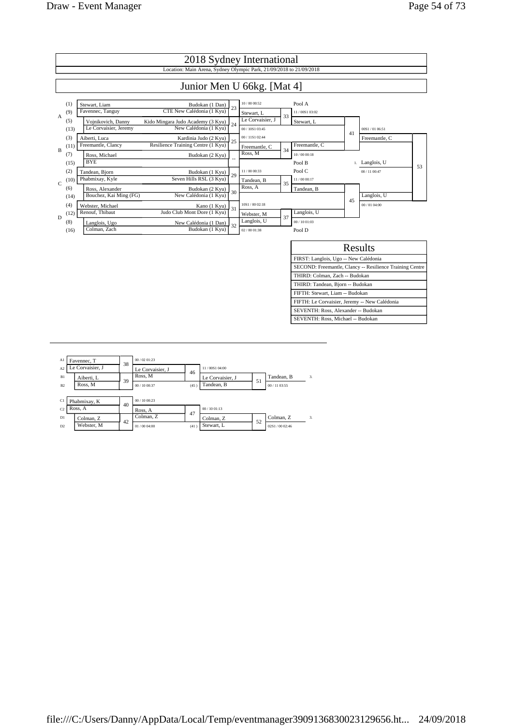

| A1             | Favennec, T      | 38 | 00/02.01:23      |      |                  |    |               |                  |
|----------------|------------------|----|------------------|------|------------------|----|---------------|------------------|
| A <sub>2</sub> | Le Corvaisier, J |    | Le Corvaisier, J | 46   | 11/00S1 04:00    |    |               |                  |
| B1             | Aiberti. L       | 39 | Ross, M          |      | Le Corvaisier, J | 51 | Tandean, B    | $\overline{3}$ . |
| B <sub>2</sub> | Ross, M          |    | 00 / 10 00:37    | (45) | Tandean, B       |    | 00 / 11 03:55 |                  |
|                |                  |    |                  |      |                  |    |               |                  |
| C1             | Phabmixay, K     | 40 | 00/1000:23       |      |                  |    |               |                  |
| C2             | Ross, A          |    | Ross, A          | 47   | 00/1001:13       |    |               |                  |
| D1             | Colman, Z        | 42 | Colman, Z        |      | Colman, Z        | 52 | Colman, Z     | $\mathcal{R}$    |
| D2             | Webster, M       |    | 01/0004:00       | (41) | Stewart, L       |    | 02S1/0002:46  |                  |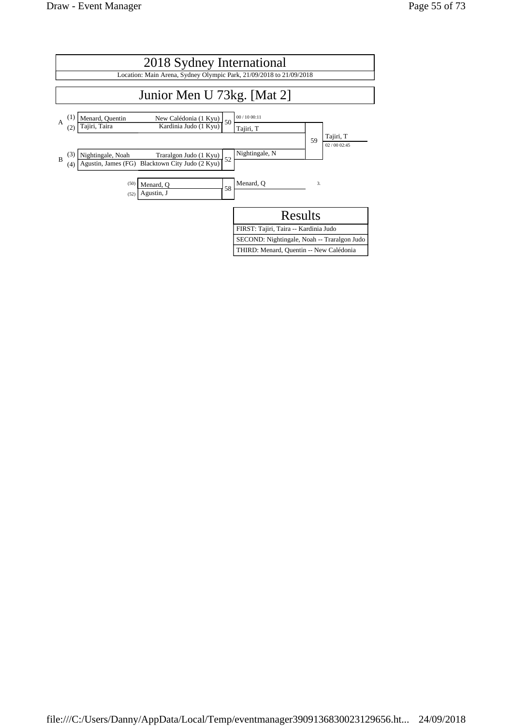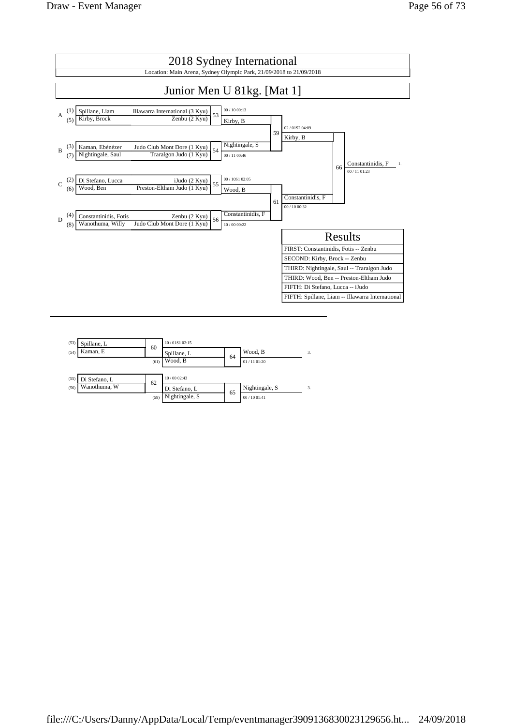

| (53)<br>Spillane, L   | 60   | 10/01S1 02:15  |    |                |    |  |  |
|-----------------------|------|----------------|----|----------------|----|--|--|
| Kaman, E<br>(54)      |      | Spillane, L    |    | Wood, B        | 3. |  |  |
|                       | (61) | Wood, B        | 64 | 01 / 11 01:20  |    |  |  |
|                       |      |                |    |                |    |  |  |
| (55)<br>Di Stefano, L | 62   | 10/00 02:43    |    |                |    |  |  |
| Wanothuma, W<br>(56)  |      | Di Stefano, L  | 65 | Nightingale, S | 3. |  |  |
|                       | (59) | Nightingale, S |    | 00/1001:41     |    |  |  |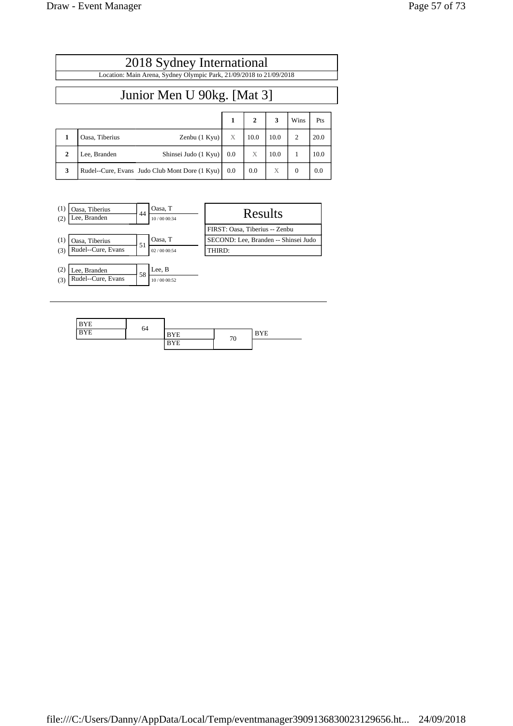| 2018 Sydney International<br>Location: Main Arena, Sydney Olympic Park, 21/09/2018 to 21/09/2018 |                                                |     |                |      |          |      |  |
|--------------------------------------------------------------------------------------------------|------------------------------------------------|-----|----------------|------|----------|------|--|
| Junior Men U 90kg. [Mat 3]                                                                       |                                                |     |                |      |          |      |  |
|                                                                                                  |                                                | 1   | $\overline{2}$ | 3    | Wins     | Pts  |  |
| 1                                                                                                | Oasa, Tiberius<br>Zenbu (1 Kyu)                | X   | 10.0           | 10.0 | 2        | 20.0 |  |
| $\mathbf{2}$                                                                                     | Lee, Branden<br>Shinsei Judo (1 Kyu)           | 0.0 | X              | 10.0 | 1        | 10.0 |  |
| 3                                                                                                | Rudel--Cure, Evans Judo Club Mont Dore (1 Kyu) | 0.0 | 0.0            | X    | $\Omega$ | 0.0  |  |
|                                                                                                  |                                                |     |                |      |          |      |  |

| (1)<br>(2) | Oasa, Tiberius<br>Lee, Branden | 44 | Oasa, T<br>10/00 00:34 | Results                              |
|------------|--------------------------------|----|------------------------|--------------------------------------|
|            |                                |    |                        | FIRST: Oasa, Tiberius -- Zenbu       |
| (1)        | Oasa, Tiberius                 | 51 | Oasa, T                | SECOND: Lee, Branden -- Shinsei Judo |
| (3)        | Rudel--Cure, Evans             |    | 02 / 00 00:54          | THIRD:                               |
|            |                                |    |                        |                                      |
| (2)        | Lee, Branden                   | 58 | Lee, B                 |                                      |
| (3)        | Rudel--Cure, Evans             |    | 10/00 00:52            |                                      |

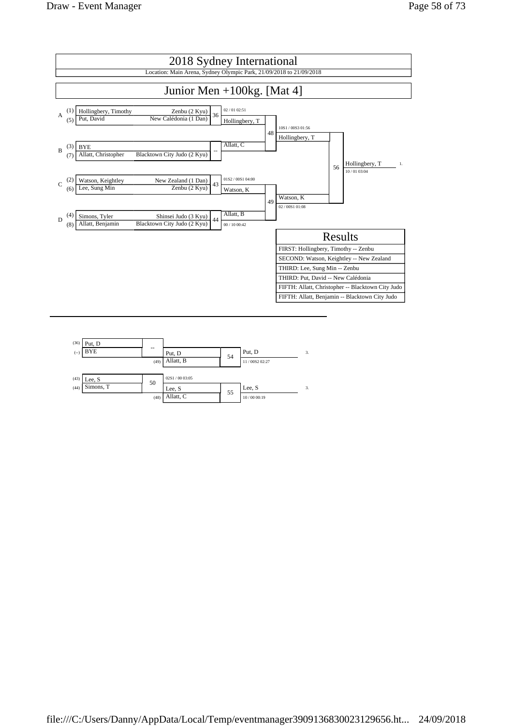

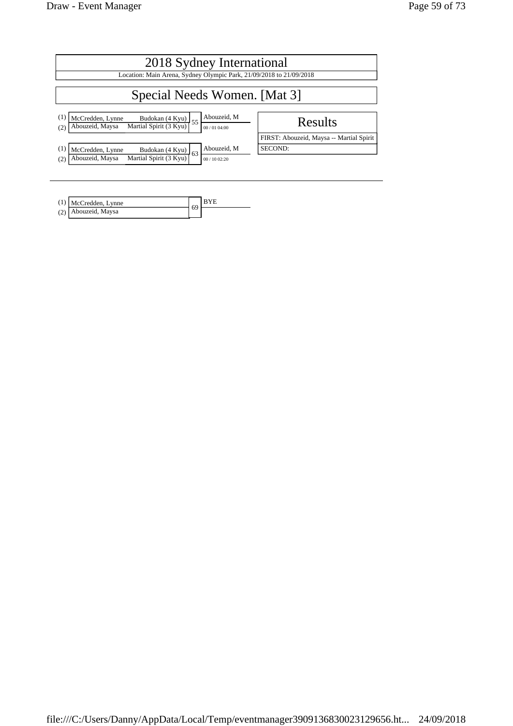| 2018 Sydney International                                                                                                                                                                        |                                          |  |  |  |  |  |
|--------------------------------------------------------------------------------------------------------------------------------------------------------------------------------------------------|------------------------------------------|--|--|--|--|--|
| Location: Main Arena, Sydney Olympic Park, 21/09/2018 to 21/09/2018                                                                                                                              |                                          |  |  |  |  |  |
| Special Needs Women. [Mat 3]                                                                                                                                                                     |                                          |  |  |  |  |  |
| Abouzeid, M<br>$\left(1\right)$<br>McCredden, Lynne<br>$\left[\frac{\text{Budokan} (4 \text{ Kyu})}{\text{Martial Spirit} (3 \text{ Kyu})}\right] 55$<br>Abouzeid, Maysa<br>00 / 01 04:00<br>(2) | Results                                  |  |  |  |  |  |
|                                                                                                                                                                                                  | FIRST: Abouzeid, Maysa -- Martial Spirit |  |  |  |  |  |
| Abouzeid, M<br>$\left(1\right)$<br>McCredden, Lynne<br>Budokan (4 Kyu)<br>63<br>Martial Spirit (3 Kyu)<br>Abouzeid, Maysa<br>(2)<br>00/1002:20                                                   | SECOND:                                  |  |  |  |  |  |

| $(1)$ McCredden, Lynne |  |
|------------------------|--|
| (2) Abouzeid, Maysa    |  |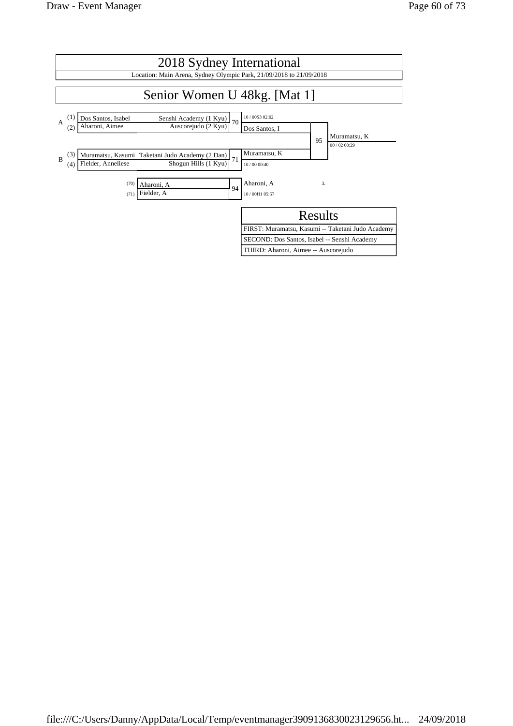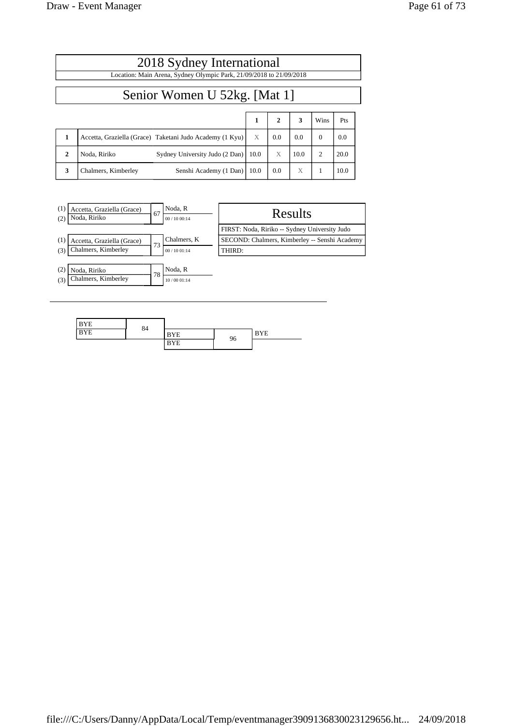|                              | 2018 Sydney International<br>Location: Main Arena, Sydney Olympic Park, 21/09/2018 to 21/09/2018 |  |      |              |      |          |      |  |  |
|------------------------------|--------------------------------------------------------------------------------------------------|--|------|--------------|------|----------|------|--|--|
| Senior Women U 52kg. [Mat 1] |                                                                                                  |  |      |              |      |          |      |  |  |
|                              |                                                                                                  |  | 1    | $\mathbf{2}$ | 3    | Wins     | Pts  |  |  |
| 1                            | Accetta, Graziella (Grace) Taketani Judo Academy (1 Kyu)                                         |  | X    | 0.0          | 0.0  | $\Omega$ | 0.0  |  |  |
| $\mathbf{2}$                 | Noda, Ririko<br>Sydney University Judo (2 Dan)                                                   |  | 10.0 | X            | 10.0 | 2        | 20.0 |  |  |
| 3                            | Chalmers, Kimberley<br>Senshi Academy (1 Dan)                                                    |  | 10.0 | 0.0          | X    |          | 10.0 |  |  |



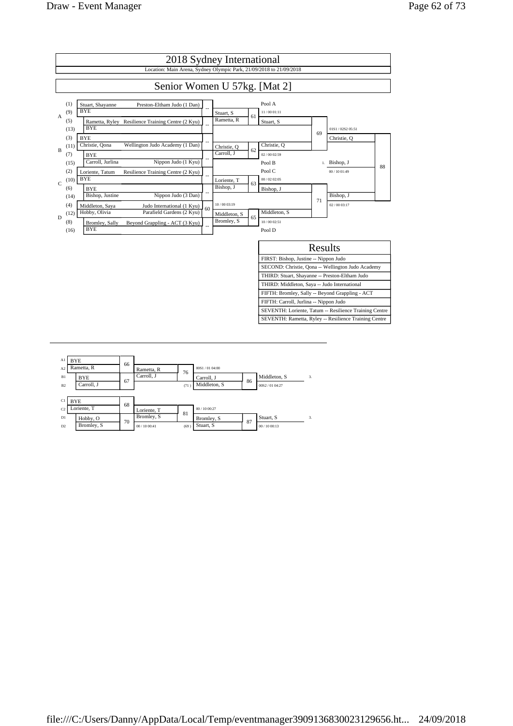

| A1             | <b>BYE</b>  | 66 |             |      |               |    |               |    |
|----------------|-------------|----|-------------|------|---------------|----|---------------|----|
| A <sub>2</sub> | Rametta, R  |    | Rametta, R  | 76   | 00S1/0104:00  |    |               |    |
| B1             | <b>BYE</b>  | 67 | Carroll, J  |      | Carroll, J    | 86 | Middleton, S  | 3. |
| B <sub>2</sub> | Carroll, J  |    |             | (71) | Middleton, S  |    | 00S2/01 04:27 |    |
|                |             |    |             |      |               |    |               |    |
| C1             | <b>BYE</b>  | 68 |             |      |               |    |               |    |
| C <sub>2</sub> | Loriente, T |    | Loriente, T | 81   | 00 / 10 00:27 |    |               |    |
| D1             | Hobby, O    | 70 | Bromley, S  |      | Bromley, S    | 87 | Stuart, S     | 3. |
| D2             | Bromley, S  |    | 00/1000:41  | (69) | Stuart, S     |    | 00/1000:13    |    |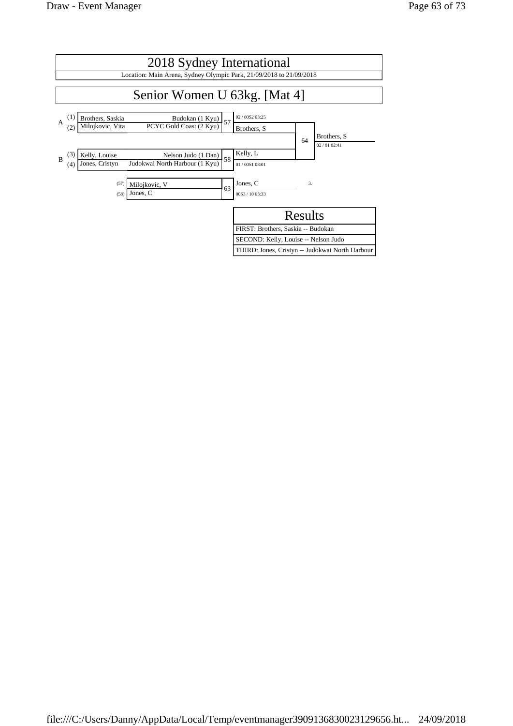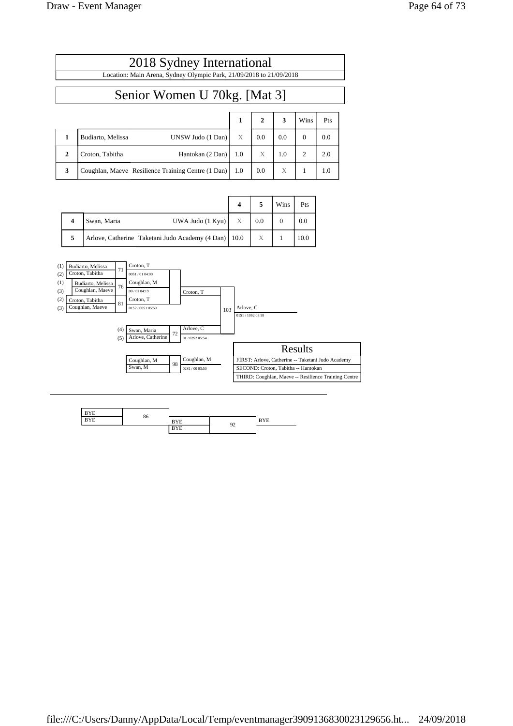|              | 2018 Sydney International                                           |     |              |     |                |     |  |  |  |
|--------------|---------------------------------------------------------------------|-----|--------------|-----|----------------|-----|--|--|--|
|              | Location: Main Arena, Sydney Olympic Park, 21/09/2018 to 21/09/2018 |     |              |     |                |     |  |  |  |
|              | Senior Women U 70kg. [Mat 3]                                        |     |              |     |                |     |  |  |  |
|              |                                                                     |     |              |     |                |     |  |  |  |
|              |                                                                     | 1   | $\mathbf{2}$ | 3   | Wins           | Pts |  |  |  |
| 1            | Budiarto, Melissa<br>UNSW Judo (1 Dan)                              | X   | 0.0          | 0.0 | $\Omega$       | 0.0 |  |  |  |
| $\mathbf{2}$ | Croton, Tabitha<br>Hantokan (2 Dan)                                 | 1.0 | X            | 1.0 | $\overline{c}$ | 2.0 |  |  |  |
| 3            | Coughlan, Maeve Resilience Training Centre (1 Dan)                  | 1.0 | 0.0          | X   |                | 1.0 |  |  |  |

|   |                                                        |                  |                  | Wins | Pts  |
|---|--------------------------------------------------------|------------------|------------------|------|------|
|   | UWA Judo (1 Kyu)<br>Swan, Maria                        | $\boldsymbol{X}$ | 0.0              |      | 0.0  |
| 5 | Arlove, Catherine Taketani Judo Academy (4 Dan)   10.0 |                  | $\boldsymbol{X}$ |      | 10.0 |



| ---- |    |    |     |
|------|----|----|-----|
| $ -$ | 80 |    | $-$ |
|      |    | 92 |     |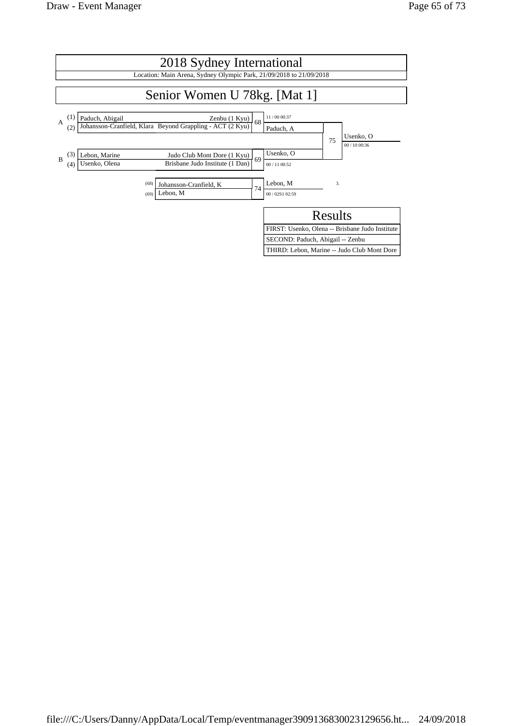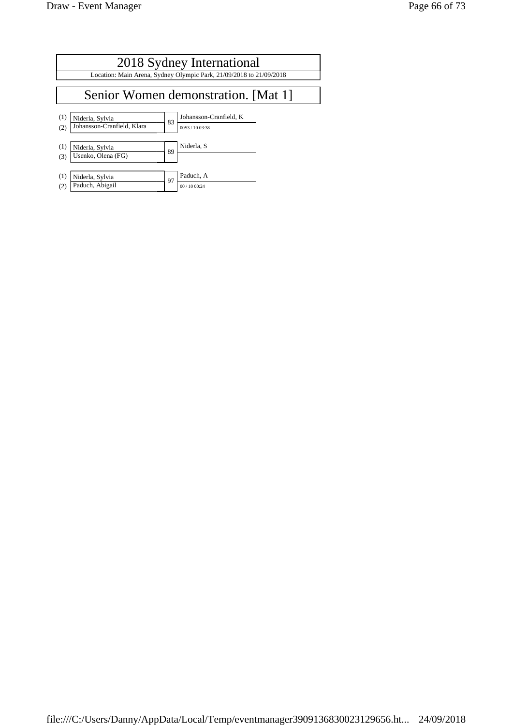$\equiv$ 

|            | 2018 Sydney International                                           |    |                                           |  |  |  |  |  |  |
|------------|---------------------------------------------------------------------|----|-------------------------------------------|--|--|--|--|--|--|
|            | Location: Main Arena, Sydney Olympic Park, 21/09/2018 to 21/09/2018 |    |                                           |  |  |  |  |  |  |
|            |                                                                     |    |                                           |  |  |  |  |  |  |
|            | Senior Women demonstration. [Mat 1]                                 |    |                                           |  |  |  |  |  |  |
| (1)<br>(2) | Niderla, Sylvia<br>Johansson-Cranfield, Klara                       | 83 | Johansson-Cranfield, K<br>00S3 / 10 03:38 |  |  |  |  |  |  |
| (1)<br>(3) | Niderla, Sylvia<br>Usenko, Olena (FG)                               | 89 | Niderla, S                                |  |  |  |  |  |  |
| (1)<br>(2) | Niderla, Sylvia<br>Paduch, Abigail                                  | 97 | Paduch, A<br>00 / 10 00:24                |  |  |  |  |  |  |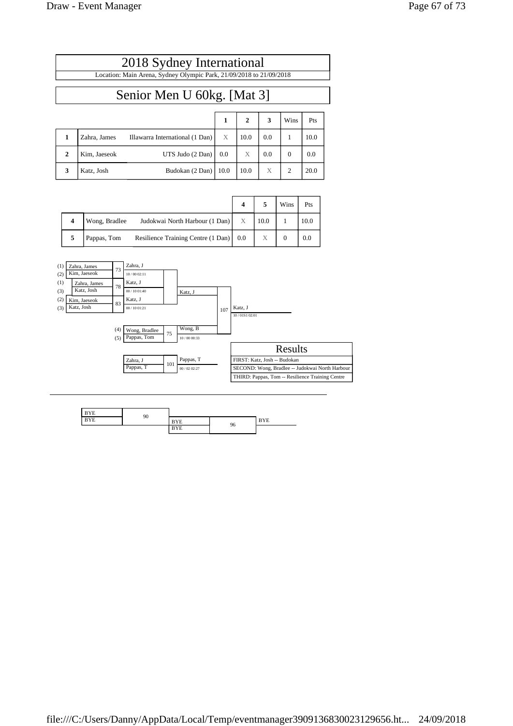|              |              |                                 |      | $\mathbf{2}$ | 3   | Wins           | Pts  |
|--------------|--------------|---------------------------------|------|--------------|-----|----------------|------|
|              | Zahra, James | Illawarra International (1 Dan) | X    | 10.0         | 0.0 |                | 10.0 |
| $\mathbf{2}$ | Kim, Jaeseok | UTS Judo (2 Dan)                | 0.0  | Х            | 0.0 | 0              | 0.0  |
| 3            | Katz, Josh   | Budokan (2 Dan)                 | 10.0 | 10.0         | X   | $\overline{c}$ | 20.0 |

|   |               |                                          |   |              | Wins | Pts  |
|---|---------------|------------------------------------------|---|--------------|------|------|
|   | Wong, Bradlee | Judokwai North Harbour (1 Dan)           | X | $\vert$ 10.0 |      | 10.0 |
| 5 | Pappas, Tom   | Resilience Training Centre (1 Dan)   0.0 |   | Х            |      | 0.0  |



| $\sim$ $\sim$ | 90 |             |    |         |
|---------------|----|-------------|----|---------|
| .<br>Έ.       |    | $ -$<br>. . |    | $-$<br> |
|               |    | $-$<br>. .  | 96 |         |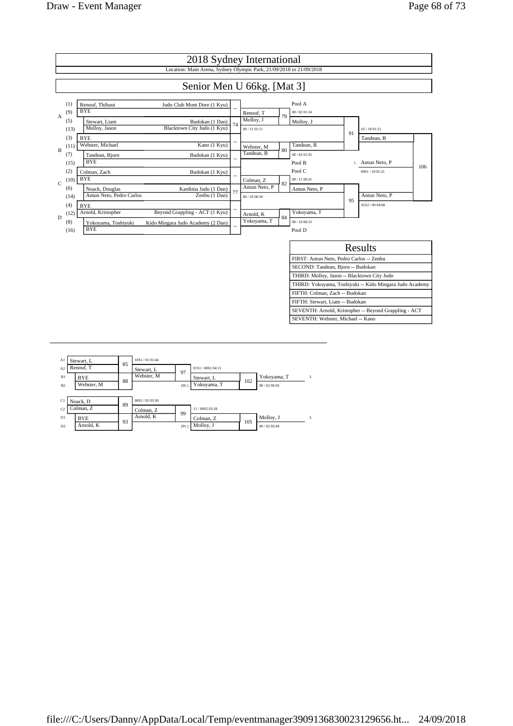

| A1             | Stewart, L |    | 10S1/0101.44 |      |                 |     |             |    |
|----------------|------------|----|--------------|------|-----------------|-----|-------------|----|
| A <sub>2</sub> | Renouf. T  | 85 | Stewart, L   | 97   | 01S1/00S2 04:15 |     |             |    |
| B1             | <b>BYE</b> | 88 | Webster, M   |      | Stewart, L      | 102 | Yokoyama, T | 3. |
| B2             | Webster, M |    |              | (95) | Yokoyama, T     |     | 00/0200:50  |    |
|                |            |    |              |      |                 |     |             |    |
| C1             | Noack, D   | 89 | 00S2/0203:30 |      |                 |     |             |    |
| C <sub>2</sub> | Colman, Z  |    | Colman, Z    | 99   | 11/00S2 03:28   |     |             |    |
| D1             | <b>BYE</b> | 93 | Arnold, K    |      | Colman, Z       | 105 | Molloy, J   | 3. |
| D2             | Arnold, K  |    |              | (91) | Molloy, J       |     | 00/0202:44  |    |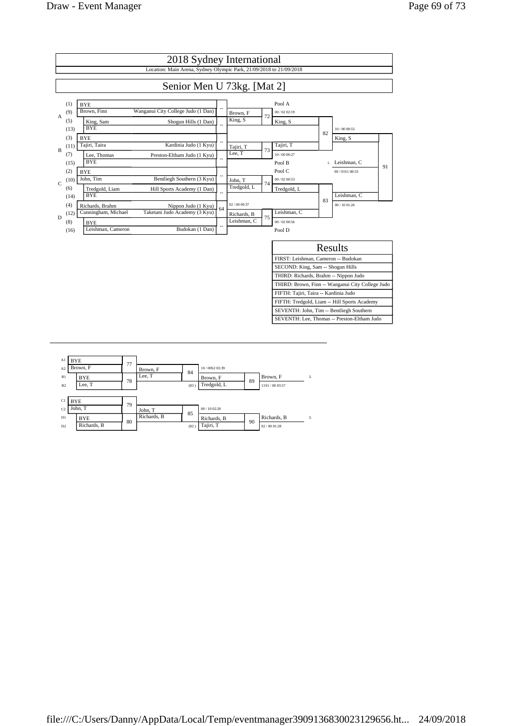

| A1             | BYE         | 77 |             |      |               |    |                 |    |
|----------------|-------------|----|-------------|------|---------------|----|-----------------|----|
| A <sub>2</sub> | Brown. F    |    | Brown, F    | 84   | 10/00S2 03:39 |    |                 |    |
| B1             | <b>BYE</b>  | 78 | Lee, T      |      | Brown, F      | 89 | Brown, F        | 3. |
| B <sub>2</sub> | Lee, T      |    |             | (83) | Tredgold, L   |    | 11S1 / 00 03:57 |    |
|                |             |    |             |      |               |    |                 |    |
| C1             | <b>BYE</b>  | 79 |             |      |               |    |                 |    |
| C <sub>2</sub> | John, T     |    | John, T     | 85   | 00/1002:20    |    |                 |    |
| D1             | <b>BYE</b>  | 80 | Richards, B |      | Richards, B   | 90 | Richards, B     | 3. |
| D <sub>2</sub> | Richards, B |    |             | (82) | Tajiri, T     |    | 02/0001:28      |    |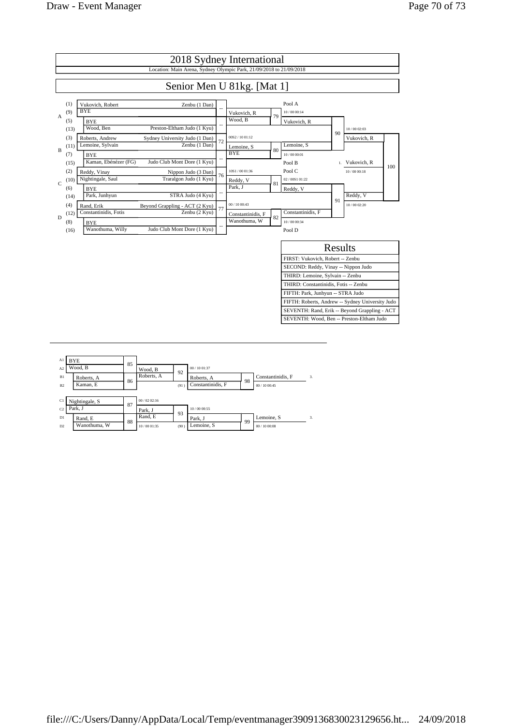

| A1             | BYE            |    |             |      |                   |    |                   |    |
|----------------|----------------|----|-------------|------|-------------------|----|-------------------|----|
| A <sub>2</sub> | Wood, B        | 85 | Wood, B     | 92   | 00 / 10 01:37     |    |                   |    |
| B1             | Roberts, A     | 86 | Roberts, A  |      | Roberts, A        | 98 | Constantinidis, F | 3. |
| B <sub>2</sub> | Kaman, E       |    |             | (91) | Constantinidis, F |    | 00/1000:45        |    |
|                |                |    |             |      |                   |    |                   |    |
| C1             | Nightingale, S | 87 | 00/0202:16  |      |                   |    |                   |    |
| C <sub>2</sub> | Park. J        |    | Park, J     | 93   | 10/00 00:55       |    |                   |    |
| D1             | Rand, E        | 88 | Rand, E     |      | Park. J           | 99 | Lemoine, S        | 3. |
| D2             | Wanothuma, W   |    | 10/00 01:35 | (90) | Lemoine, S        |    | 00/1000:08        |    |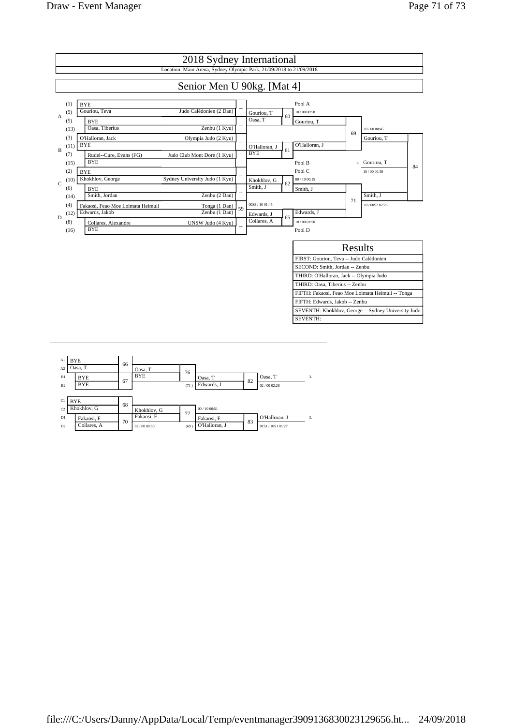

| Al             | BYE         | 66 |             |      |               |    |                 |    |
|----------------|-------------|----|-------------|------|---------------|----|-----------------|----|
| A2             | Oasa, T     |    | Oasa, T     | 76   |               |    |                 |    |
| B1             | <b>BYE</b>  | 67 | <b>BYE</b>  |      | Oasa, T       | 82 | Oasa, T         | 3. |
| B <sub>2</sub> | <b>BYE</b>  |    |             | (71) | Edwards, J    |    | 02/0002:28      |    |
|                |             |    |             |      |               |    |                 |    |
| C1             | <b>BYE</b>  | 68 |             |      |               |    |                 |    |
| C <sub>2</sub> | Khokhlov, G |    | Khokhlov, G | 77   | 00/1000:51    |    |                 |    |
| D1             | Fakaosi, F  | 70 | Fakaosi, F  |      | Fakaosi, F    | 83 | O'Halloran, J   | 3. |
| D2             | Collares, A |    | 02/0000:50  | (69) | O'Halloran, J |    | 01S1/10S1 01:27 |    |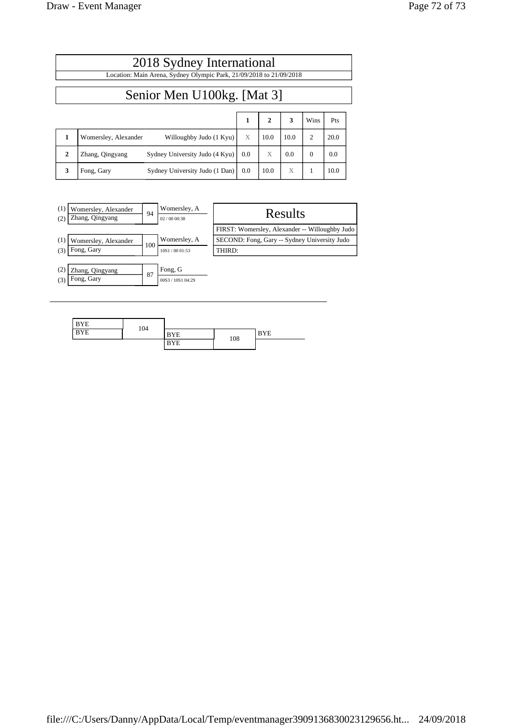|              | 2018 Sydney International                                           |     |              |      |                |      |  |  |  |
|--------------|---------------------------------------------------------------------|-----|--------------|------|----------------|------|--|--|--|
|              | Location: Main Arena, Sydney Olympic Park, 21/09/2018 to 21/09/2018 |     |              |      |                |      |  |  |  |
|              | Senior Men U100kg. [Mat 3]                                          |     |              |      |                |      |  |  |  |
|              |                                                                     | 1   | $\mathbf{2}$ | 3    | Wins           | Pts  |  |  |  |
|              | Willoughby Judo (1 Kyu)<br>Womersley, Alexander                     | X   | 10.0         | 10.0 | $\overline{c}$ | 20.0 |  |  |  |
| $\mathbf{2}$ | Sydney University Judo (4 Kyu)<br>Zhang, Qingyang                   | 0.0 | X            | 0.0  | $\Omega$       | 0.0  |  |  |  |
| 3            | Sydney University Judo (1 Dan)<br>Fong, Gary                        | 0.0 | 10.0         | X    |                | 10.0 |  |  |  |